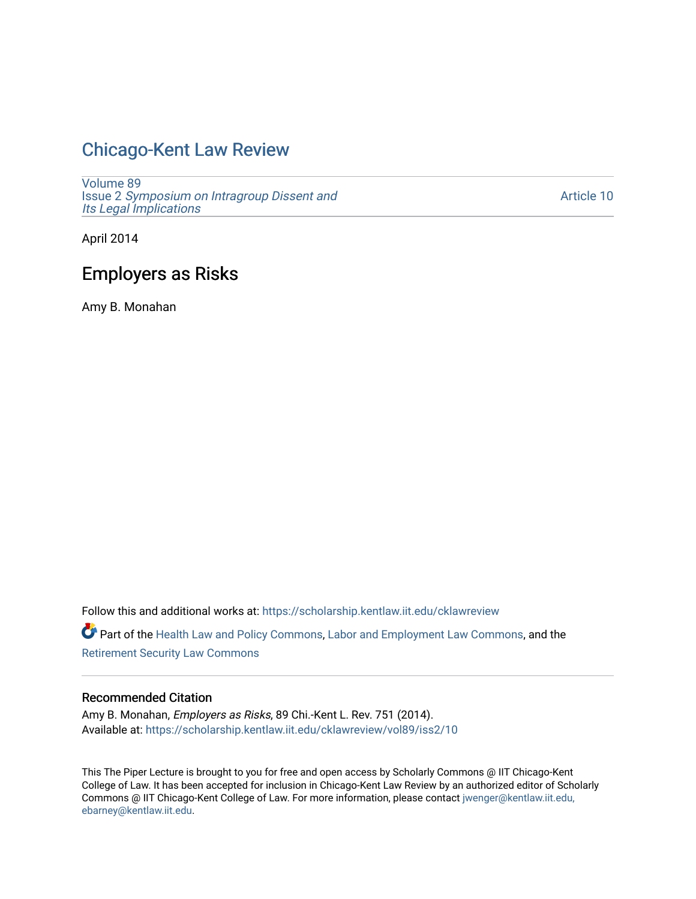## [Chicago-Kent Law Review](https://scholarship.kentlaw.iit.edu/cklawreview)

[Volume 89](https://scholarship.kentlaw.iit.edu/cklawreview/vol89) Issue 2 [Symposium on Intragroup Dissent and](https://scholarship.kentlaw.iit.edu/cklawreview/vol89/iss2) [Its Legal Implications](https://scholarship.kentlaw.iit.edu/cklawreview/vol89/iss2)

[Article 10](https://scholarship.kentlaw.iit.edu/cklawreview/vol89/iss2/10) 

April 2014

# Employers as Risks

Amy B. Monahan

Follow this and additional works at: [https://scholarship.kentlaw.iit.edu/cklawreview](https://scholarship.kentlaw.iit.edu/cklawreview?utm_source=scholarship.kentlaw.iit.edu%2Fcklawreview%2Fvol89%2Fiss2%2F10&utm_medium=PDF&utm_campaign=PDFCoverPages) 

Part of the [Health Law and Policy Commons](http://network.bepress.com/hgg/discipline/901?utm_source=scholarship.kentlaw.iit.edu%2Fcklawreview%2Fvol89%2Fiss2%2F10&utm_medium=PDF&utm_campaign=PDFCoverPages), [Labor and Employment Law Commons,](http://network.bepress.com/hgg/discipline/909?utm_source=scholarship.kentlaw.iit.edu%2Fcklawreview%2Fvol89%2Fiss2%2F10&utm_medium=PDF&utm_campaign=PDFCoverPages) and the [Retirement Security Law Commons](http://network.bepress.com/hgg/discipline/873?utm_source=scholarship.kentlaw.iit.edu%2Fcklawreview%2Fvol89%2Fiss2%2F10&utm_medium=PDF&utm_campaign=PDFCoverPages)

## Recommended Citation

Amy B. Monahan, *Employers as Risks*, 89 Chi.-Kent L. Rev. 751 (2014). Available at: [https://scholarship.kentlaw.iit.edu/cklawreview/vol89/iss2/10](https://scholarship.kentlaw.iit.edu/cklawreview/vol89/iss2/10?utm_source=scholarship.kentlaw.iit.edu%2Fcklawreview%2Fvol89%2Fiss2%2F10&utm_medium=PDF&utm_campaign=PDFCoverPages) 

This The Piper Lecture is brought to you for free and open access by Scholarly Commons @ IIT Chicago-Kent College of Law. It has been accepted for inclusion in Chicago-Kent Law Review by an authorized editor of Scholarly Commons @ IIT Chicago-Kent College of Law. For more information, please contact [jwenger@kentlaw.iit.edu,](mailto:jwenger@kentlaw.iit.edu,%20ebarney@kentlaw.iit.edu)  [ebarney@kentlaw.iit.edu](mailto:jwenger@kentlaw.iit.edu,%20ebarney@kentlaw.iit.edu).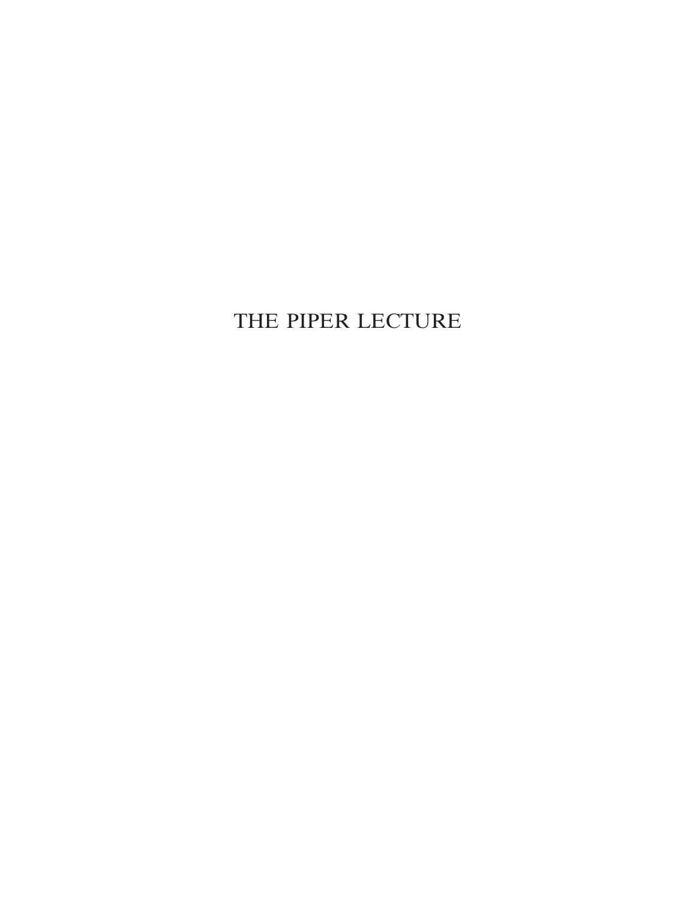# THE PIPER LECTURE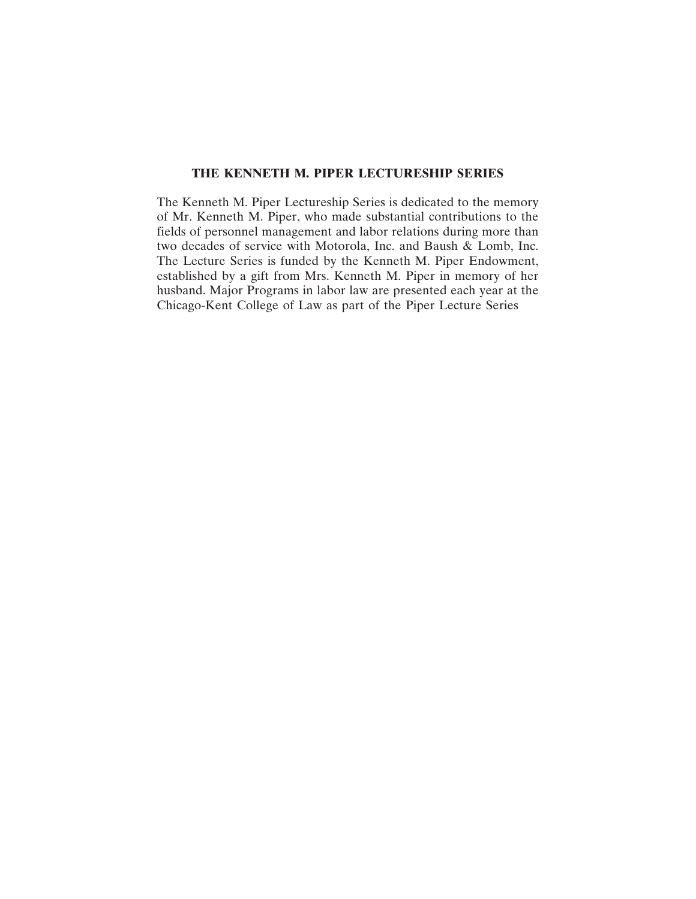## **THE KENNETH M. PIPER LECTURESHIP SERIES**

The Kenneth M. Piper Lectureship Series is dedicated to the memory of Mr. Kenneth M. Piper, who made substantial contributions to the fields of personnel management and labor relations during more than two decades of service with Motorola, Inc. and Baush & Lomb, Inc. The Lecture Series is funded by the Kenneth M. Piper Endowment, established by a gift from Mrs. Kenneth M. Piper in memory of her husband. Major Programs in labor law are presented each year at the Chicago-Kent College of Law as part of the Piper Lecture Series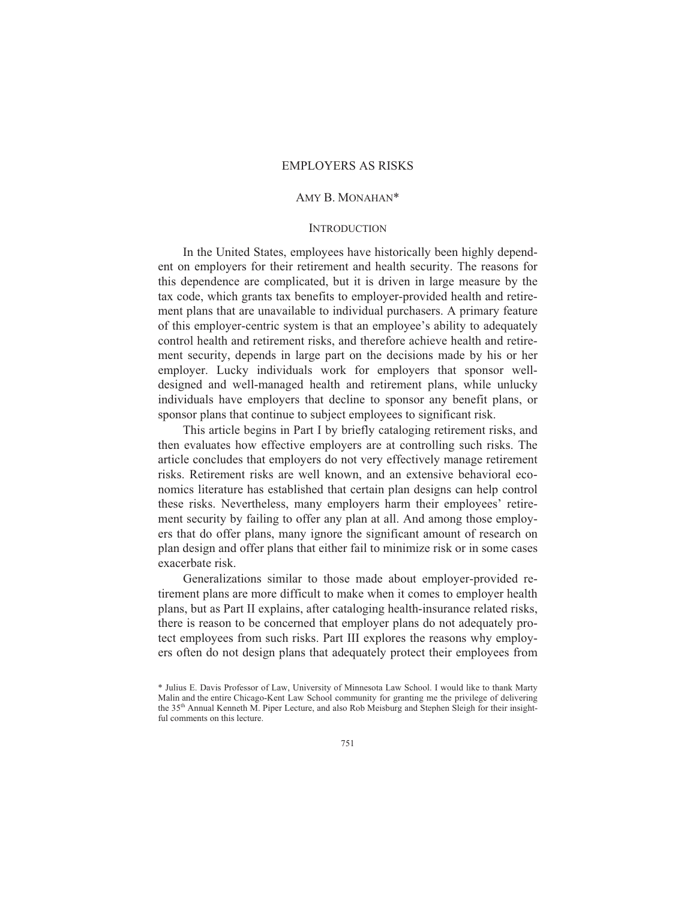## AMY B. MONAHAN\*

### **INTRODUCTION**

In the United States, employees have historically been highly dependent on employers for their retirement and health security. The reasons for this dependence are complicated, but it is driven in large measure by the tax code, which grants tax benefits to employer-provided health and retirement plans that are unavailable to individual purchasers. A primary feature of this employer-centric system is that an employee's ability to adequately control health and retirement risks, and therefore achieve health and retirement security, depends in large part on the decisions made by his or her employer. Lucky individuals work for employers that sponsor welldesigned and well-managed health and retirement plans, while unlucky individuals have employers that decline to sponsor any benefit plans, or sponsor plans that continue to subject employees to significant risk.

This article begins in Part I by briefly cataloging retirement risks, and then evaluates how effective employers are at controlling such risks. The article concludes that employers do not very effectively manage retirement risks. Retirement risks are well known, and an extensive behavioral economics literature has established that certain plan designs can help control these risks. Nevertheless, many employers harm their employees' retirement security by failing to offer any plan at all. And among those employers that do offer plans, many ignore the significant amount of research on plan design and offer plans that either fail to minimize risk or in some cases exacerbate risk.

Generalizations similar to those made about employer-provided retirement plans are more difficult to make when it comes to employer health plans, but as Part II explains, after cataloging health-insurance related risks, there is reason to be concerned that employer plans do not adequately protect employees from such risks. Part III explores the reasons why employers often do not design plans that adequately protect their employees from

<sup>\*</sup> Julius E. Davis Professor of Law, University of Minnesota Law School. I would like to thank Marty Malin and the entire Chicago-Kent Law School community for granting me the privilege of delivering the 35th Annual Kenneth M. Piper Lecture, and also Rob Meisburg and Stephen Sleigh for their insightful comments on this lecture.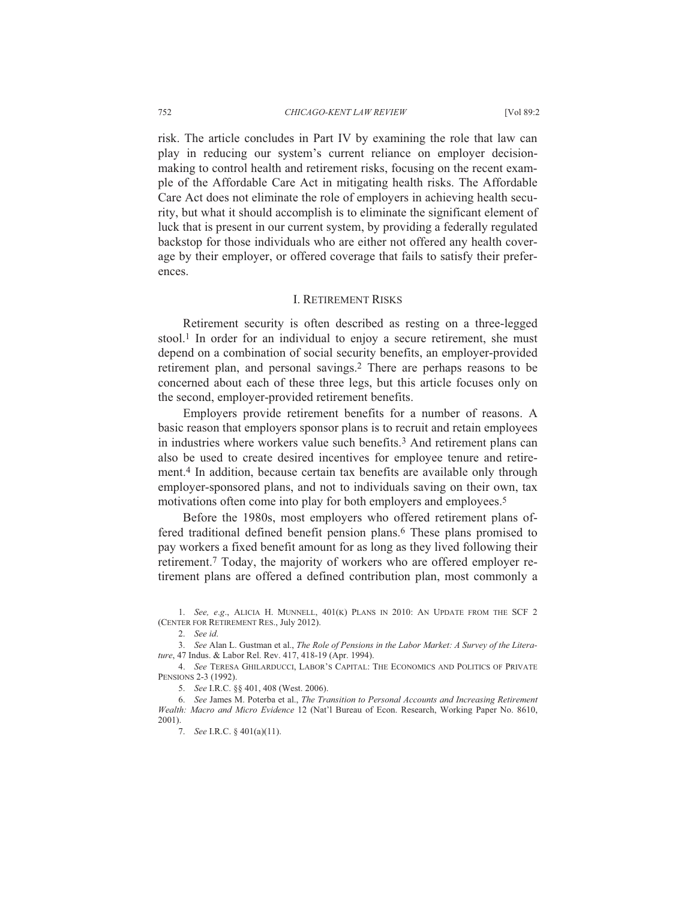risk. The article concludes in Part IV by examining the role that law can play in reducing our system's current reliance on employer decisionmaking to control health and retirement risks, focusing on the recent example of the Affordable Care Act in mitigating health risks. The Affordable Care Act does not eliminate the role of employers in achieving health security, but what it should accomplish is to eliminate the significant element of luck that is present in our current system, by providing a federally regulated backstop for those individuals who are either not offered any health coverage by their employer, or offered coverage that fails to satisfy their preferences.

## I. RETIREMENT RISKS

Retirement security is often described as resting on a three-legged stool.1 In order for an individual to enjoy a secure retirement, she must depend on a combination of social security benefits, an employer-provided retirement plan, and personal savings.2 There are perhaps reasons to be concerned about each of these three legs, but this article focuses only on the second, employer-provided retirement benefits.

Employers provide retirement benefits for a number of reasons. A basic reason that employers sponsor plans is to recruit and retain employees in industries where workers value such benefits.3 And retirement plans can also be used to create desired incentives for employee tenure and retirement.4 In addition, because certain tax benefits are available only through employer-sponsored plans, and not to individuals saving on their own, tax motivations often come into play for both employers and employees.5

Before the 1980s, most employers who offered retirement plans offered traditional defined benefit pension plans.6 These plans promised to pay workers a fixed benefit amount for as long as they lived following their retirement.7 Today, the majority of workers who are offered employer retirement plans are offered a defined contribution plan, most commonly a

 1. *See, e*.*g*., ALICIA H. MUNNELL, 401(K) PLANS IN 2010: AN UPDATE FROM THE SCF 2 (CENTER FOR RETIREMENT RES., July 2012).

 3. *See* Alan L. Gustman et al., *The Role of Pensions in the Labor Market: A Survey of the Literature*, 47 Indus. & Labor Rel. Rev. 417, 418-19 (Apr. 1994).

 4. *See* TERESA GHILARDUCCI, LABOR'S CAPITAL: THE ECONOMICS AND POLITICS OF PRIVATE PENSIONS 2-3 (1992).

5. *See* I.R.C. §§ 401, 408 (West. 2006).

 6. *See* James M. Poterba et al., *The Transition to Personal Accounts and Increasing Retirement Wealth: Macro and Micro Evidence* 12 (Nat'l Bureau of Econ. Research, Working Paper No. 8610, 2001).

7. *See* I.R.C. § 401(a)(11).

 <sup>2.</sup> *See id*.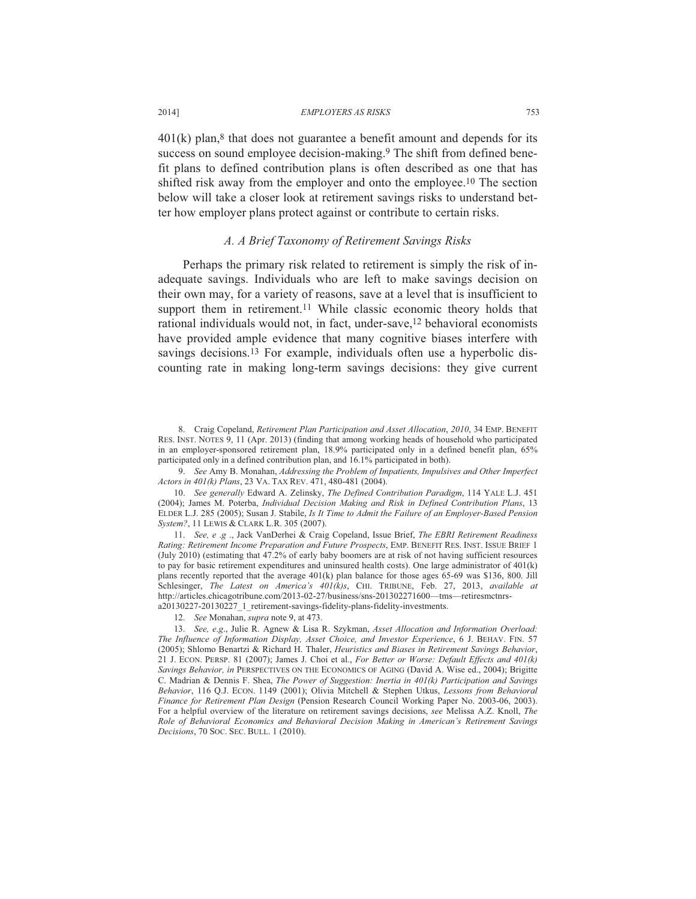$401(k)$  plan,<sup>8</sup> that does not guarantee a benefit amount and depends for its success on sound employee decision-making.<sup>9</sup> The shift from defined benefit plans to defined contribution plans is often described as one that has shifted risk away from the employer and onto the employee.<sup>10</sup> The section below will take a closer look at retirement savings risks to understand better how employer plans protect against or contribute to certain risks.

## *A. A Brief Taxonomy of Retirement Savings Risks*

Perhaps the primary risk related to retirement is simply the risk of inadequate savings. Individuals who are left to make savings decision on their own may, for a variety of reasons, save at a level that is insufficient to support them in retirement.<sup>11</sup> While classic economic theory holds that rational individuals would not, in fact, under-save,12 behavioral economists have provided ample evidence that many cognitive biases interfere with savings decisions.<sup>13</sup> For example, individuals often use a hyperbolic discounting rate in making long-term savings decisions: they give current

 9. *See* Amy B. Monahan, *Addressing the Problem of Impatients, Impulsives and Other Imperfect Actors in 401(k) Plans*, 23 VA. TAX REV. 471, 480-481 (2004).

 10. *See generally* Edward A. Zelinsky, *The Defined Contribution Paradigm*, 114 YALE L.J. 451 (2004); James M. Poterba, *Individual Decision Making and Risk in Defined Contribution Plans*, 13 ELDER L.J. 285 (2005); Susan J. Stabile, *Is It Time to Admit the Failure of an Employer-Based Pension System?*, 11 LEWIS & CLARK L.R. 305 (2007).

 11. *See, e* .*g* ., Jack VanDerhei & Craig Copeland, Issue Brief, *The EBRI Retirement Readiness Rating: Retirement Income Preparation and Future Prospects*, EMP. BENEFIT RES. INST. ISSUE BRIEF 1 (July 2010) (estimating that 47.2% of early baby boomers are at risk of not having sufficient resources to pay for basic retirement expenditures and uninsured health costs). One large administrator of  $401(k)$ plans recently reported that the average 401(k) plan balance for those ages 65-69 was \$136, 800. Jill Schlesinger, *The Latest on America's 401(k)s*, CHI. TRIBUNE, Feb. 27, 2013, *available at* http://articles.chicagotribune.com/2013-02-27/business/sns-201302271600—tms—retiresmctnrsa20130227-20130227\_1\_retirement-savings-fidelity-plans-fidelity-investments.

 <sup>8.</sup> Craig Copeland, *Retirement Plan Participation and Asset Allocation*, *2010*, 34 EMP. BENEFIT RES. INST. NOTES 9, 11 (Apr. 2013) (finding that among working heads of household who participated in an employer-sponsored retirement plan, 18.9% participated only in a defined benefit plan, 65% participated only in a defined contribution plan, and 16.1% participated in both).

 <sup>12.</sup> *See* Monahan, *supra* note 9, at 473.

 <sup>13.</sup> *See, e*.*g*., Julie R. Agnew & Lisa R. Szykman, *Asset Allocation and Information Overload: The Influence of Information Display, Asset Choice, and Investor Experience*, 6 J. BEHAV. FIN. 57 (2005); Shlomo Benartzi & Richard H. Thaler, *Heuristics and Biases in Retirement Savings Behavior*, 21 J. ECON. PERSP. 81 (2007); James J. Choi et al., *For Better or Worse: Default Effects and 401(k) Savings Behavior, in* PERSPECTIVES ON THE ECONOMICS OF AGING (David A. Wise ed., 2004); Brigitte C. Madrian & Dennis F. Shea, *The Power of Suggestion: Inertia in 401(k) Participation and Savings Behavior*, 116 Q.J. ECON. 1149 (2001); Olivia Mitchell & Stephen Utkus, *Lessons from Behavioral Finance for Retirement Plan Design* (Pension Research Council Working Paper No. 2003-06, 2003). For a helpful overview of the literature on retirement savings decisions, *see* Melissa A.Z. Knoll, *The Role of Behavioral Economics and Behavioral Decision Making in American's Retirement Savings Decisions*, 70 SOC. SEC. BULL. 1 (2010).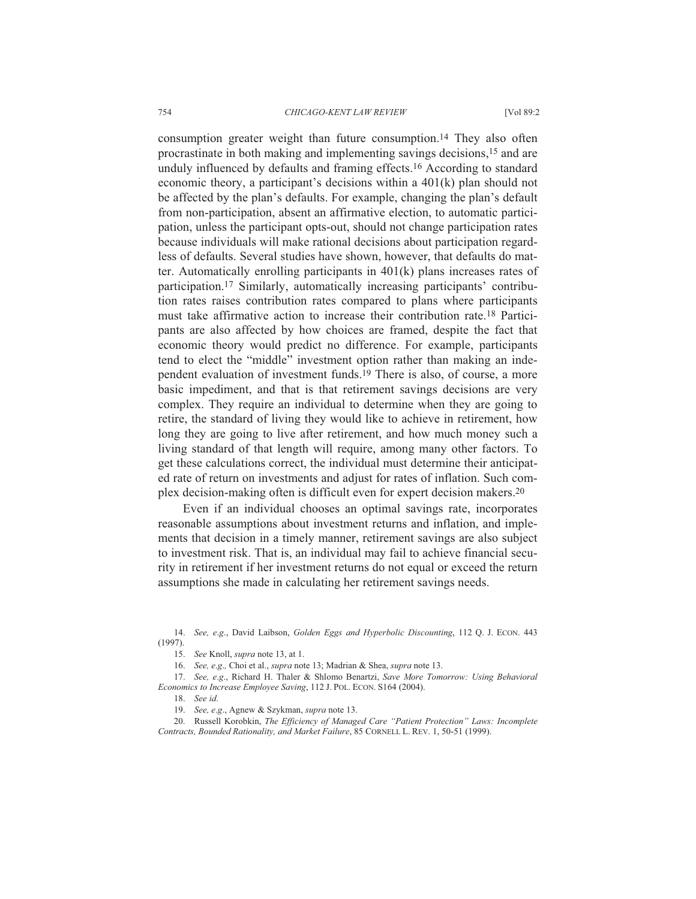754 *CHICAGO-KENT LAW REVIEW* [Vol 89:2

consumption greater weight than future consumption.14 They also often procrastinate in both making and implementing savings decisions,15 and are unduly influenced by defaults and framing effects.16 According to standard economic theory, a participant's decisions within a 401(k) plan should not be affected by the plan's defaults. For example, changing the plan's default from non-participation, absent an affirmative election, to automatic participation, unless the participant opts-out, should not change participation rates because individuals will make rational decisions about participation regardless of defaults. Several studies have shown, however, that defaults do matter. Automatically enrolling participants in 401(k) plans increases rates of participation.17 Similarly, automatically increasing participants' contribution rates raises contribution rates compared to plans where participants must take affirmative action to increase their contribution rate.18 Participants are also affected by how choices are framed, despite the fact that economic theory would predict no difference. For example, participants tend to elect the "middle" investment option rather than making an independent evaluation of investment funds.19 There is also, of course, a more basic impediment, and that is that retirement savings decisions are very complex. They require an individual to determine when they are going to retire, the standard of living they would like to achieve in retirement, how long they are going to live after retirement, and how much money such a living standard of that length will require, among many other factors. To get these calculations correct, the individual must determine their anticipated rate of return on investments and adjust for rates of inflation. Such complex decision-making often is difficult even for expert decision makers.20

Even if an individual chooses an optimal savings rate, incorporates reasonable assumptions about investment returns and inflation, and implements that decision in a timely manner, retirement savings are also subject to investment risk. That is, an individual may fail to achieve financial security in retirement if her investment returns do not equal or exceed the return assumptions she made in calculating her retirement savings needs.

 <sup>14.</sup> *See, e*.*g*., David Laibson, *Golden Eggs and Hyperbolic Discounting*, 112 Q. J. ECON. 443 (1997).

 <sup>15.</sup> *See* Knoll, *supra* note 13, at 1.

 <sup>16.</sup> *See, e*.*g*.*,* Choi et al., *supra* note 13; Madrian & Shea, *supra* note 13.

 <sup>17.</sup> *See, e*.*g*., Richard H. Thaler & Shlomo Benartzi, *Save More Tomorrow: Using Behavioral Economics to Increase Employee Saving*, 112 J. POL. ECON. S164 (2004).

 <sup>18.</sup> *See id*.

 <sup>19.</sup> *See, e*.*g*., Agnew & Szykman, *supra* note 13.

 <sup>20.</sup> Russell Korobkin, *The Efficiency of Managed Care "Patient Protection" Laws: Incomplete Contracts, Bounded Rationality, and Market Failure*, 85 CORNELL L. REV. 1, 50-51 (1999).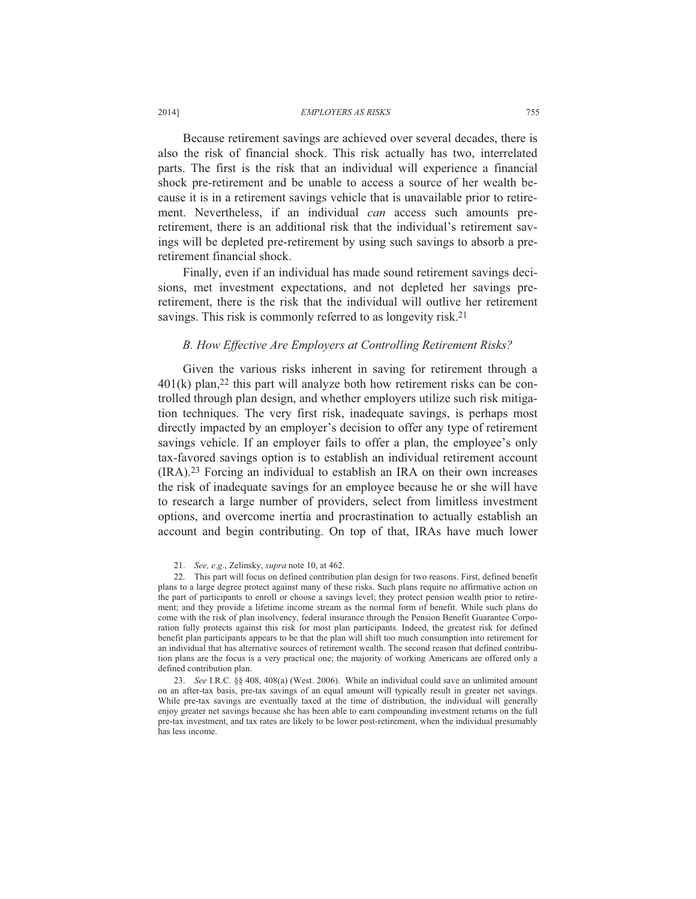Because retirement savings are achieved over several decades, there is also the risk of financial shock. This risk actually has two, interrelated parts. The first is the risk that an individual will experience a financial shock pre-retirement and be unable to access a source of her wealth because it is in a retirement savings vehicle that is unavailable prior to retirement. Nevertheless, if an individual *can* access such amounts preretirement, there is an additional risk that the individual's retirement savings will be depleted pre-retirement by using such savings to absorb a preretirement financial shock.

Finally, even if an individual has made sound retirement savings decisions, met investment expectations, and not depleted her savings preretirement, there is the risk that the individual will outlive her retirement savings. This risk is commonly referred to as longevity risk.<sup>21</sup>

## *B. How Effective Are Employers at Controlling Retirement Risks?*

Given the various risks inherent in saving for retirement through a  $401(k)$  plan,<sup>22</sup> this part will analyze both how retirement risks can be controlled through plan design, and whether employers utilize such risk mitigation techniques. The very first risk, inadequate savings, is perhaps most directly impacted by an employer's decision to offer any type of retirement savings vehicle. If an employer fails to offer a plan, the employee's only tax-favored savings option is to establish an individual retirement account (IRA).23 Forcing an individual to establish an IRA on their own increases the risk of inadequate savings for an employee because he or she will have to research a large number of providers, select from limitless investment options, and overcome inertia and procrastination to actually establish an account and begin contributing. On top of that, IRAs have much lower

 <sup>21.</sup> *See, e*.*g*., Zelinsky, *supra* note 10, at 462.

 <sup>22.</sup> This part will focus on defined contribution plan design for two reasons. First, defined benefit plans to a large degree protect against many of these risks. Such plans require no affirmative action on the part of participants to enroll or choose a savings level; they protect pension wealth prior to retirement; and they provide a lifetime income stream as the normal form of benefit. While such plans do come with the risk of plan insolvency, federal insurance through the Pension Benefit Guarantee Corporation fully protects against this risk for most plan participants. Indeed, the greatest risk for defined benefit plan participants appears to be that the plan will shift too much consumption into retirement for an individual that has alternative sources of retirement wealth. The second reason that defined contribution plans are the focus is a very practical one; the majority of working Americans are offered only a defined contribution plan.

 <sup>23.</sup> *See* I.R.C. §§ 408, 408(a) (West. 2006). While an individual could save an unlimited amount on an after-tax basis, pre-tax savings of an equal amount will typically result in greater net savings. While pre-tax savings are eventually taxed at the time of distribution, the individual will generally enjoy greater net savings because she has been able to earn compounding investment returns on the full pre-tax investment, and tax rates are likely to be lower post-retirement, when the individual presumably has less income.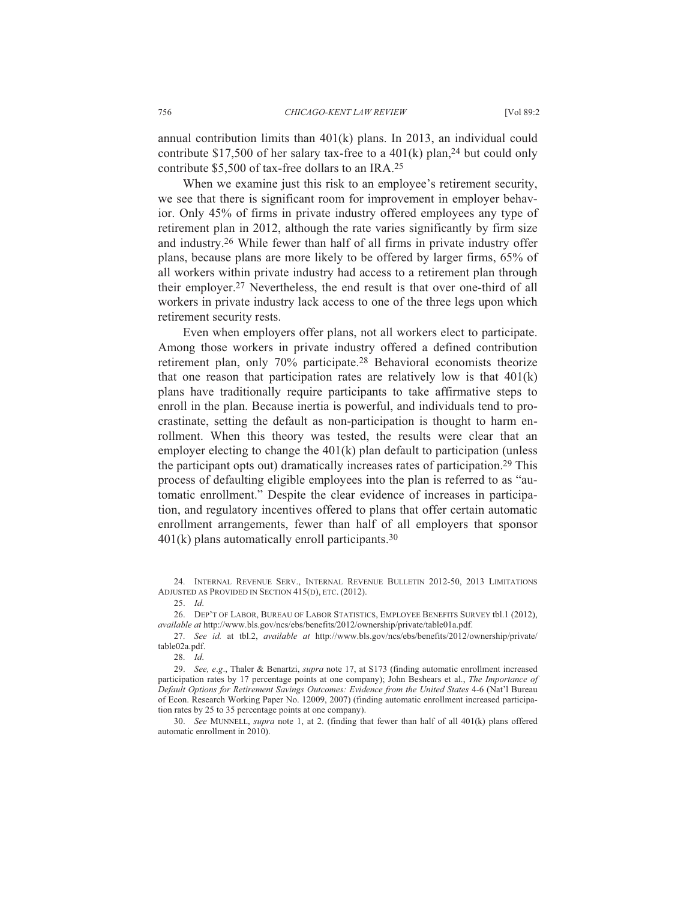annual contribution limits than 401(k) plans. In 2013, an individual could contribute \$17,500 of her salary tax-free to a  $401(k)$  plan,<sup>24</sup> but could only contribute \$5,500 of tax-free dollars to an IRA.25

When we examine just this risk to an employee's retirement security, we see that there is significant room for improvement in employer behavior. Only 45% of firms in private industry offered employees any type of retirement plan in 2012, although the rate varies significantly by firm size and industry.26 While fewer than half of all firms in private industry offer plans, because plans are more likely to be offered by larger firms, 65% of all workers within private industry had access to a retirement plan through their employer.27 Nevertheless, the end result is that over one-third of all workers in private industry lack access to one of the three legs upon which retirement security rests.

Even when employers offer plans, not all workers elect to participate. Among those workers in private industry offered a defined contribution retirement plan, only 70% participate.28 Behavioral economists theorize that one reason that participation rates are relatively low is that  $401(k)$ plans have traditionally require participants to take affirmative steps to enroll in the plan. Because inertia is powerful, and individuals tend to procrastinate, setting the default as non-participation is thought to harm enrollment. When this theory was tested, the results were clear that an employer electing to change the 401(k) plan default to participation (unless the participant opts out) dramatically increases rates of participation.29 This process of defaulting eligible employees into the plan is referred to as "automatic enrollment." Despite the clear evidence of increases in participation, and regulatory incentives offered to plans that offer certain automatic enrollment arrangements, fewer than half of all employers that sponsor 401(k) plans automatically enroll participants.30

25. *Id*.

 26. DEP'T OF LABOR, BUREAU OF LABOR STATISTICS, EMPLOYEE BENEFITS SURVEY tbl.1 (2012), *available at* http://www.bls.gov/ncs/ebs/benefits/2012/ownership/private/table01a.pdf.

 27. *See id.* at tbl.2, *available at* http://www.bls.gov/ncs/ebs/benefits/2012/ownership/private/ table02a.pdf.

28. *Id*.

 29. *See, e*.*g*., Thaler & Benartzi, *supra* note 17, at S173 (finding automatic enrollment increased participation rates by 17 percentage points at one company); John Beshears et al., *The Importance of Default Options for Retirement Savings Outcomes: Evidence from the United States* 4-6 (Nat'l Bureau of Econ. Research Working Paper No. 12009, 2007) (finding automatic enrollment increased participation rates by 25 to 35 percentage points at one company).

 30. *See* MUNNELL, *supra* note 1, at 2. (finding that fewer than half of all 401(k) plans offered automatic enrollment in 2010).

 <sup>24.</sup> INTERNAL REVENUE SERV., INTERNAL REVENUE BULLETIN 2012-50, 2013 LIMITATIONS ADJUSTED AS PROVIDED IN SECTION 415(D), ETC. (2012).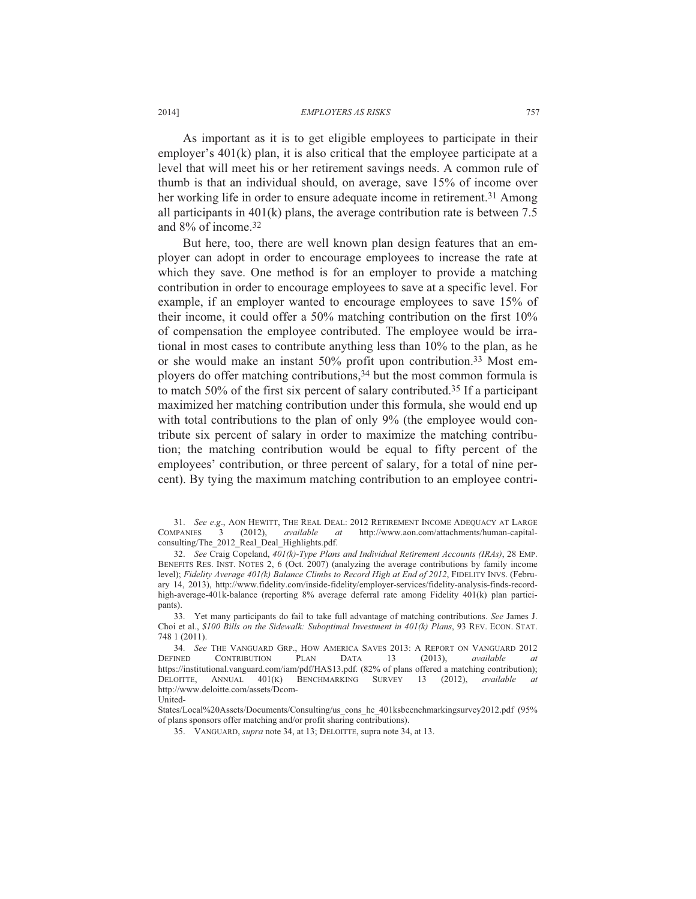As important as it is to get eligible employees to participate in their employer's 401(k) plan, it is also critical that the employee participate at a level that will meet his or her retirement savings needs. A common rule of thumb is that an individual should, on average, save 15% of income over her working life in order to ensure adequate income in retirement.<sup>31</sup> Among all participants in 401(k) plans, the average contribution rate is between 7.5 and 8% of income.32

But here, too, there are well known plan design features that an employer can adopt in order to encourage employees to increase the rate at which they save. One method is for an employer to provide a matching contribution in order to encourage employees to save at a specific level. For example, if an employer wanted to encourage employees to save 15% of their income, it could offer a 50% matching contribution on the first 10% of compensation the employee contributed. The employee would be irrational in most cases to contribute anything less than 10% to the plan, as he or she would make an instant 50% profit upon contribution.33 Most employers do offer matching contributions,34 but the most common formula is to match 50% of the first six percent of salary contributed.35 If a participant maximized her matching contribution under this formula, she would end up with total contributions to the plan of only 9% (the employee would contribute six percent of salary in order to maximize the matching contribution; the matching contribution would be equal to fifty percent of the employees' contribution, or three percent of salary, for a total of nine percent). By tying the maximum matching contribution to an employee contri-

 32. *See* Craig Copeland, *401(k)-Type Plans and Individual Retirement Accounts (IRAs)*, 28 EMP. BENEFITS RES. INST. NOTES 2, 6 (Oct. 2007) (analyzing the average contributions by family income level); *Fidelity Average 401(k) Balance Climbs to Record High at End of 2012*, FIDELITY INVS. (February 14, 2013), http://www.fidelity.com/inside-fidelity/employer-services/fidelity-analysis-finds-recordhigh-average-401k-balance (reporting 8% average deferral rate among Fidelity 401(k) plan participants).

 33. Yet many participants do fail to take full advantage of matching contributions. *See* James J. Choi et al., *\$100 Bills on the Sidewalk: Suboptimal Investment in 401(k) Plans*, 93 REV. ECON. STAT. 748 1 (2011).

 34. *See* THE VANGUARD GRP., HOW AMERICA SAVES 2013: A REPORT ON VANGUARD 2012 DEFINED CONTRIBUTION PLAN DATA 13 (2013), *available at* https://institutional.vanguard.com/iam/pdf/HAS13.pdf. (82% of plans offered a matching contribution);<br>DELOITTE, ANNUAL 401(K) BENCHMARKING SURVEY 13 (2012), *available at* DELOITTE, ANNUAL 401(K) BENCHMARKING SURVEY 13 (2012), *available at* http://www.deloitte.com/assets/Dcom-United-

States/Local%20Assets/Documents/Consulting/us\_cons\_hc\_401ksbecnchmarkingsurvey2012.pdf (95%) of plans sponsors offer matching and/or profit sharing contributions).

35. VANGUARD, *supra* note 34, at 13; DELOITTE, supra note 34, at 13.

<sup>31.</sup> *See e.g.*, AON HEWITT, THE REAL DEAL: 2012 RETIREMENT INCOME ADEQUACY AT LARGE COMPANIES 3 (2012), *available at* http://www.aon.com/attachments/human-capital-COMPANIES 3 (2012), *available at* http://www.aon.com/attachments/human-capitalconsulting/The\_2012\_Real\_Deal\_Highlights.pdf.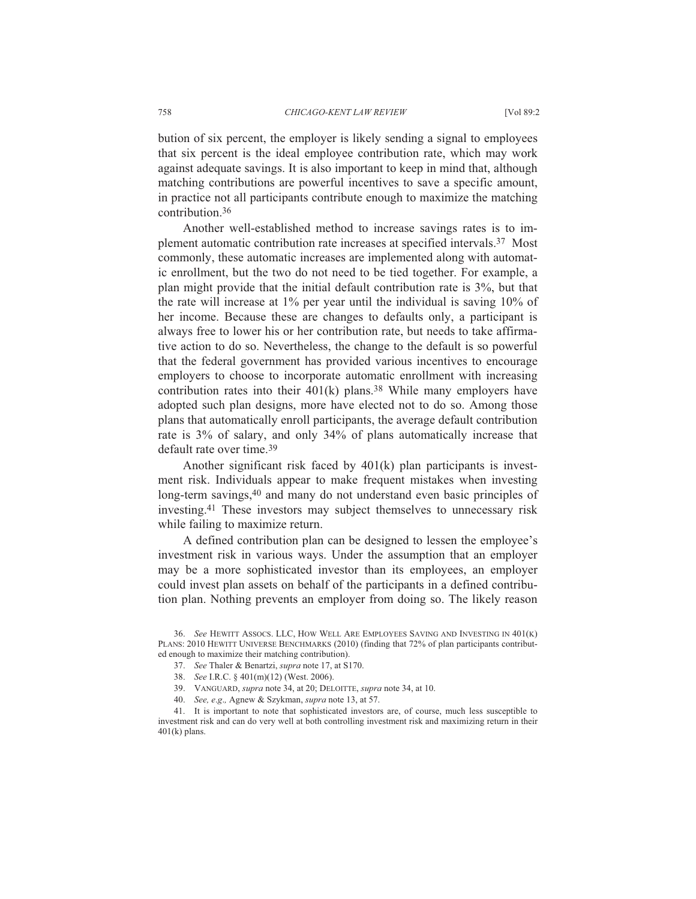bution of six percent, the employer is likely sending a signal to employees that six percent is the ideal employee contribution rate, which may work against adequate savings. It is also important to keep in mind that, although matching contributions are powerful incentives to save a specific amount, in practice not all participants contribute enough to maximize the matching contribution.36

Another well-established method to increase savings rates is to implement automatic contribution rate increases at specified intervals.37 Most commonly, these automatic increases are implemented along with automatic enrollment, but the two do not need to be tied together. For example, a plan might provide that the initial default contribution rate is 3%, but that the rate will increase at 1% per year until the individual is saving 10% of her income. Because these are changes to defaults only, a participant is always free to lower his or her contribution rate, but needs to take affirmative action to do so. Nevertheless, the change to the default is so powerful that the federal government has provided various incentives to encourage employers to choose to incorporate automatic enrollment with increasing contribution rates into their  $401(k)$  plans.<sup>38</sup> While many employers have adopted such plan designs, more have elected not to do so. Among those plans that automatically enroll participants, the average default contribution rate is 3% of salary, and only 34% of plans automatically increase that default rate over time.39

Another significant risk faced by 401(k) plan participants is investment risk. Individuals appear to make frequent mistakes when investing long-term savings,40 and many do not understand even basic principles of investing.41 These investors may subject themselves to unnecessary risk while failing to maximize return.

A defined contribution plan can be designed to lessen the employee's investment risk in various ways. Under the assumption that an employer may be a more sophisticated investor than its employees, an employer could invest plan assets on behalf of the participants in a defined contribution plan. Nothing prevents an employer from doing so. The likely reason

- 38. *See* I.R.C. § 401(m)(12) (West. 2006).
- 39. VANGUARD, *supra* note 34, at 20; DELOITTE, *supra* note 34, at 10.
- 40. *See, e*.*g*.*,* Agnew & Szykman, *supra* note 13, at 57.

 41. It is important to note that sophisticated investors are, of course, much less susceptible to investment risk and can do very well at both controlling investment risk and maximizing return in their  $401(k)$  plans.

 <sup>36.</sup> *See* HEWITT ASSOCS. LLC, HOW WELL ARE EMPLOYEES SAVING AND INVESTING IN 401(K) PLANS: 2010 HEWITT UNIVERSE BENCHMARKS (2010) (finding that 72% of plan participants contributed enough to maximize their matching contribution).

 <sup>37.</sup> *See* Thaler & Benartzi, *supra* note 17, at S170.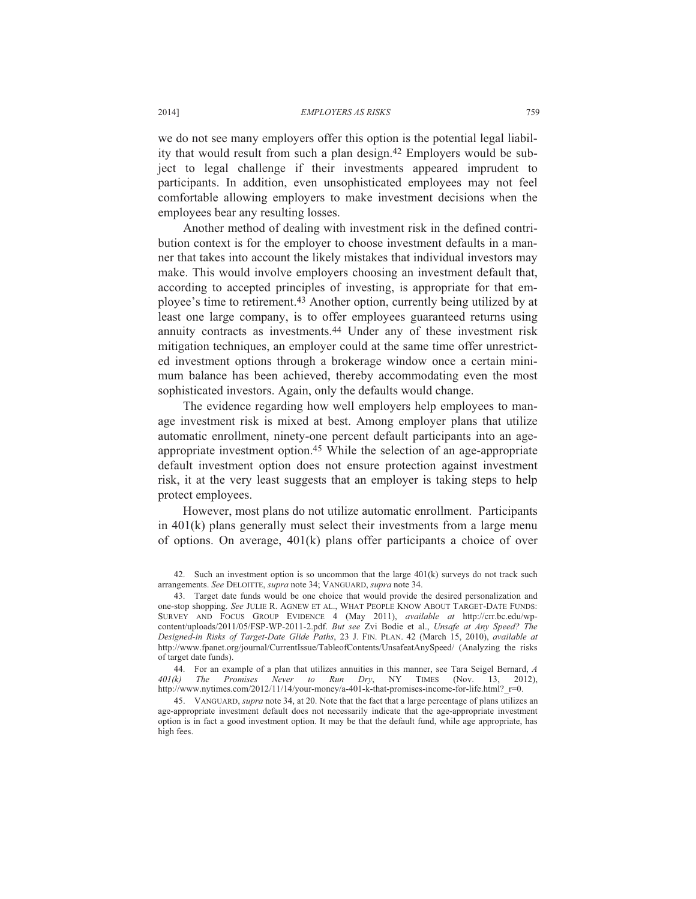we do not see many employers offer this option is the potential legal liability that would result from such a plan design.42 Employers would be subject to legal challenge if their investments appeared imprudent to participants. In addition, even unsophisticated employees may not feel comfortable allowing employers to make investment decisions when the employees bear any resulting losses.

Another method of dealing with investment risk in the defined contribution context is for the employer to choose investment defaults in a manner that takes into account the likely mistakes that individual investors may make. This would involve employers choosing an investment default that, according to accepted principles of investing, is appropriate for that employee's time to retirement.43 Another option, currently being utilized by at least one large company, is to offer employees guaranteed returns using annuity contracts as investments.44 Under any of these investment risk mitigation techniques, an employer could at the same time offer unrestricted investment options through a brokerage window once a certain minimum balance has been achieved, thereby accommodating even the most sophisticated investors. Again, only the defaults would change.

The evidence regarding how well employers help employees to manage investment risk is mixed at best. Among employer plans that utilize automatic enrollment, ninety-one percent default participants into an ageappropriate investment option.45 While the selection of an age-appropriate default investment option does not ensure protection against investment risk, it at the very least suggests that an employer is taking steps to help protect employees.

However, most plans do not utilize automatic enrollment. Participants in 401(k) plans generally must select their investments from a large menu of options. On average, 401(k) plans offer participants a choice of over

 <sup>42.</sup> Such an investment option is so uncommon that the large 401(k) surveys do not track such arrangements. *See* DELOITTE, *supra* note 34; VANGUARD, *supra* note 34.

 <sup>43.</sup> Target date funds would be one choice that would provide the desired personalization and one-stop shopping. *See* JULIE R. AGNEW ET AL., WHAT PEOPLE KNOW ABOUT TARGET-DATE FUNDS: SURVEY AND FOCUS GROUP EVIDENCE 4 (May 2011), *available at* http://crr.bc.edu/wpcontent/uploads/2011/05/FSP-WP-2011-2.pdf. *But see* Zvi Bodie et al., *Unsafe at Any Speed? The Designed-in Risks of Target-Date Glide Paths*, 23 J. FIN. PLAN. 42 (March 15, 2010), *available at*  http://www.fpanet.org/journal/CurrentIssue/TableofContents/UnsafeatAnySpeed/ (Analyzing the risks of target date funds).

<sup>44.</sup> For an example of a plan that utilizes annuities in this manner, see Tara Seigel Bernard, *A* 401(k) The Promises Never to Run Dry NY TIMES (Nov 13 2012) *401(k) The Promises Never to Run Dry*, NY TIMES (Nov. 13, 2012), http://www.nytimes.com/2012/11/14/your-money/a-401-k-that-promises-income-for-life.html? r=0.

 <sup>45.</sup> VANGUARD, *supra* note 34, at 20. Note that the fact that a large percentage of plans utilizes an age-appropriate investment default does not necessarily indicate that the age-appropriate investment option is in fact a good investment option. It may be that the default fund, while age appropriate, has high fees.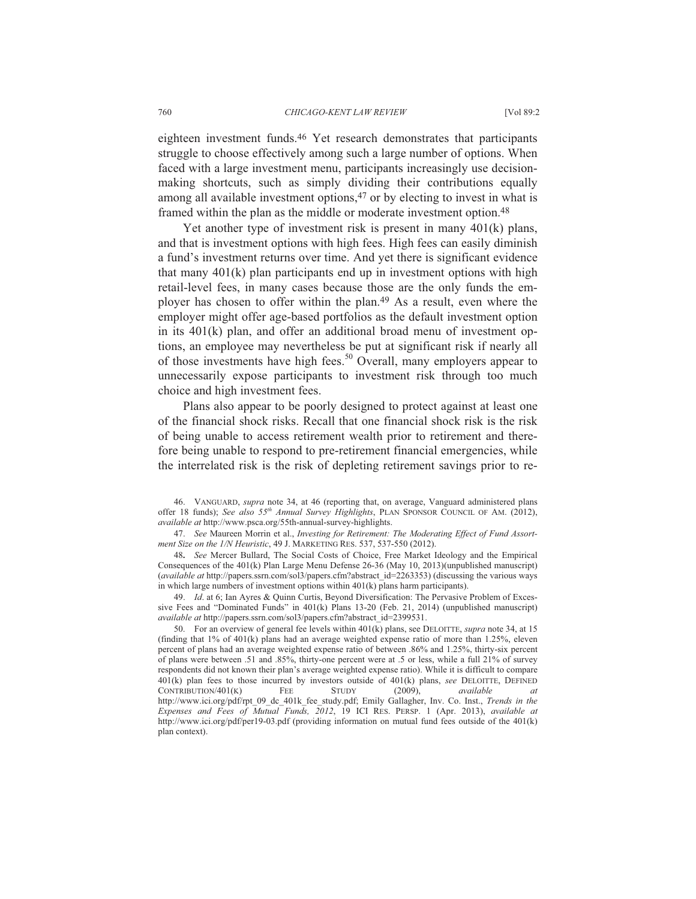eighteen investment funds.46 Yet research demonstrates that participants struggle to choose effectively among such a large number of options. When faced with a large investment menu, participants increasingly use decisionmaking shortcuts, such as simply dividing their contributions equally among all available investment options,<sup>47</sup> or by electing to invest in what is framed within the plan as the middle or moderate investment option.48

Yet another type of investment risk is present in many 401(k) plans, and that is investment options with high fees. High fees can easily diminish a fund's investment returns over time. And yet there is significant evidence that many  $401(k)$  plan participants end up in investment options with high retail-level fees, in many cases because those are the only funds the employer has chosen to offer within the plan.49 As a result, even where the employer might offer age-based portfolios as the default investment option in its 401(k) plan, and offer an additional broad menu of investment options, an employee may nevertheless be put at significant risk if nearly all of those investments have high fees.<sup>50</sup> Overall, many employers appear to unnecessarily expose participants to investment risk through too much choice and high investment fees.

Plans also appear to be poorly designed to protect against at least one of the financial shock risks. Recall that one financial shock risk is the risk of being unable to access retirement wealth prior to retirement and therefore being unable to respond to pre-retirement financial emergencies, while the interrelated risk is the risk of depleting retirement savings prior to re-

 46. VANGUARD, *supra* note 34, at 46 (reporting that, on average, Vanguard administered plans offer 18 funds); *See also 55th Annual Survey Highlights*, PLAN SPONSOR COUNCIL OF AM. (2012), *available at* http://www.psca.org/55th-annual-survey-highlights.

 47. *See* Maureen Morrin et al., *Investing for Retirement: The Moderating Effect of Fund Assortment Size on the 1/N Heuristic*, 49 J. MARKETING RES. 537, 537-550 (2012).

48**.** *See* Mercer Bullard, The Social Costs of Choice, Free Market Ideology and the Empirical Consequences of the 401(k) Plan Large Menu Defense 26-36 (May 10, 2013)(unpublished manuscript) (*available at* http://papers.ssrn.com/sol3/papers.cfm?abstract\_id=2263353) (discussing the various ways in which large numbers of investment options within 401(k) plans harm participants).

 49. *Id*. at 6; Ian Ayres & Quinn Curtis, Beyond Diversification: The Pervasive Problem of Excessive Fees and "Dominated Funds" in 401(k) Plans 13-20 (Feb. 21, 2014) (unpublished manuscript) *available at* http://papers.ssrn.com/sol3/papers.cfm?abstract\_id=2399531.

 50. For an overview of general fee levels within 401(k) plans, see DELOITTE, *supra* note 34, at 15 (finding that 1% of 401(k) plans had an average weighted expense ratio of more than 1.25%, eleven percent of plans had an average weighted expense ratio of between .86% and 1.25%, thirty-six percent of plans were between .51 and .85%, thirty-one percent were at .5 or less, while a full 21% of survey respondents did not known their plan's average weighted expense ratio). While it is difficult to compare 401(k) plan fees to those incurred by investors outside of 401(k) plans, *see* DELOITTE, DEFINED CONTRIBUTION/401(K) FEE STUDY (2009), *available at* http://www.ici.org/pdf/rpt\_09\_dc\_401k\_fee\_study.pdf; Emily Gallagher, Inv. Co. Inst., *Trends in the Expenses and Fees of Mutual Funds, 2012*, 19 ICI RES. PERSP. 1 (Apr. 2013), *available at*  http://www.ici.org/pdf/per19-03.pdf (providing information on mutual fund fees outside of the 401(k) plan context).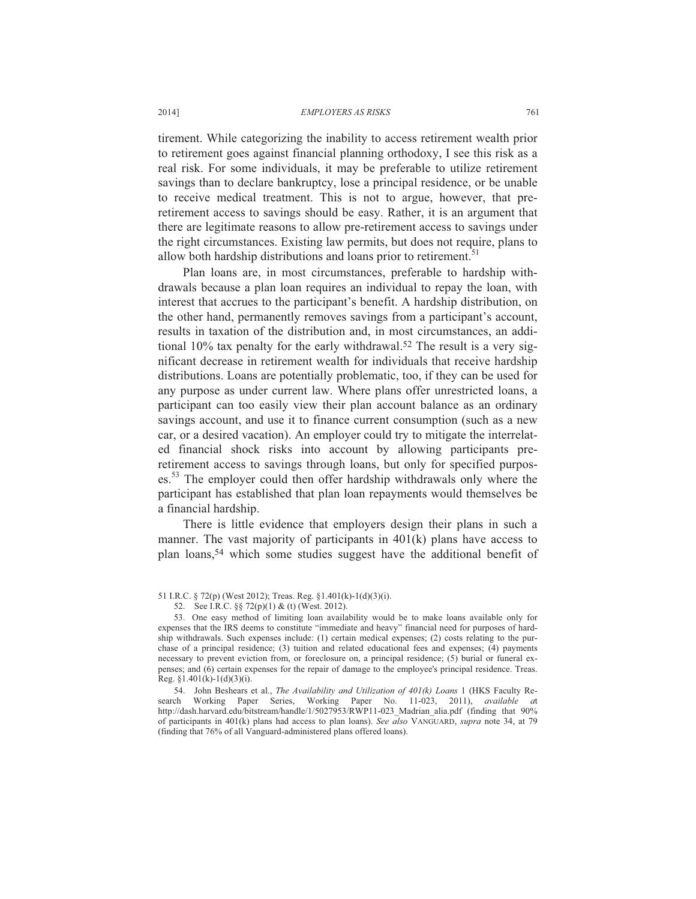tirement. While categorizing the inability to access retirement wealth prior to retirement goes against financial planning orthodoxy, I see this risk as a real risk. For some individuals, it may be preferable to utilize retirement savings than to declare bankruptcy, lose a principal residence, or be unable to receive medical treatment. This is not to argue, however, that preretirement access to savings should be easy. Rather, it is an argument that there are legitimate reasons to allow pre-retirement access to savings under the right circumstances. Existing law permits, but does not require, plans to allow both hardship distributions and loans prior to retirement.<sup>51</sup>

Plan loans are, in most circumstances, preferable to hardship withdrawals because a plan loan requires an individual to repay the loan, with interest that accrues to the participant's benefit. A hardship distribution, on the other hand, permanently removes savings from a participant's account, results in taxation of the distribution and, in most circumstances, an additional 10% tax penalty for the early withdrawal.52 The result is a very significant decrease in retirement wealth for individuals that receive hardship distributions. Loans are potentially problematic, too, if they can be used for any purpose as under current law. Where plans offer unrestricted loans, a participant can too easily view their plan account balance as an ordinary savings account, and use it to finance current consumption (such as a new car, or a desired vacation). An employer could try to mitigate the interrelated financial shock risks into account by allowing participants preretirement access to savings through loans, but only for specified purposes.<sup>53</sup> The employer could then offer hardship withdrawals only where the participant has established that plan loan repayments would themselves be a financial hardship.

There is little evidence that employers design their plans in such a manner. The vast majority of participants in 401(k) plans have access to plan loans,54 which some studies suggest have the additional benefit of

<sup>51</sup> I.R.C. § 72(p) (West 2012); Treas. Reg. §1.401(k)-1(d)(3)(i).

 <sup>52.</sup> See I.R.C. §§ 72(p)(1) & (t) (West. 2012).

 <sup>53.</sup> One easy method of limiting loan availability would be to make loans available only for expenses that the IRS deems to constitute "immediate and heavy" financial need for purposes of hardship withdrawals. Such expenses include: (1) certain medical expenses; (2) costs relating to the purchase of a principal residence; (3) tuition and related educational fees and expenses; (4) payments necessary to prevent eviction from, or foreclosure on, a principal residence; (5) burial or funeral expenses; and (6) certain expenses for the repair of damage to the employee's principal residence. Treas. Reg.  $§1.401(k)-1(d)(3)(i)$ .

 <sup>54.</sup> John Beshears et al., *The Availability and Utilization of 401(k) Loans* 1 (HKS Faculty Research Working Paper Series, Working Paper No. 11-023, 2011), *available a*t http://dash.harvard.edu/bitstream/handle/1/5027953/RWP11-023\_Madrian\_alia.pdf (finding that 90% of participants in 401(k) plans had access to plan loans). *See also* VANGUARD, *supra* note 34, at 79 (finding that 76% of all Vanguard-administered plans offered loans).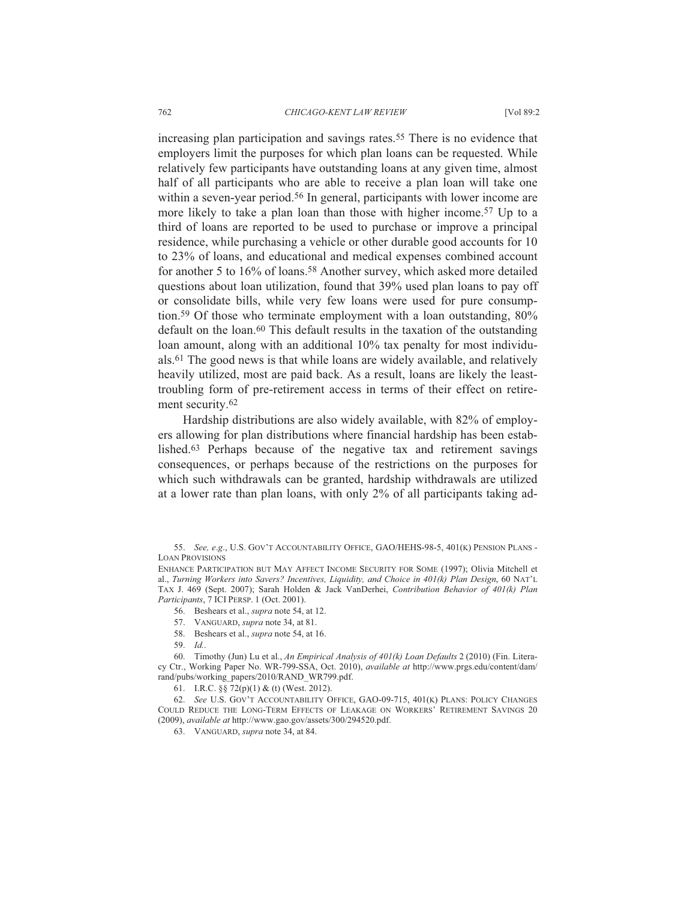increasing plan participation and savings rates.<sup>55</sup> There is no evidence that employers limit the purposes for which plan loans can be requested. While relatively few participants have outstanding loans at any given time, almost half of all participants who are able to receive a plan loan will take one within a seven-year period.<sup>56</sup> In general, participants with lower income are more likely to take a plan loan than those with higher income.57 Up to a third of loans are reported to be used to purchase or improve a principal residence, while purchasing a vehicle or other durable good accounts for 10 to 23% of loans, and educational and medical expenses combined account for another 5 to 16% of loans.58 Another survey, which asked more detailed questions about loan utilization, found that 39% used plan loans to pay off or consolidate bills, while very few loans were used for pure consumption.59 Of those who terminate employment with a loan outstanding, 80% default on the loan.60 This default results in the taxation of the outstanding loan amount, along with an additional 10% tax penalty for most individuals.61 The good news is that while loans are widely available, and relatively heavily utilized, most are paid back. As a result, loans are likely the leasttroubling form of pre-retirement access in terms of their effect on retirement security.<sup>62</sup>

Hardship distributions are also widely available, with 82% of employers allowing for plan distributions where financial hardship has been established.63 Perhaps because of the negative tax and retirement savings consequences, or perhaps because of the restrictions on the purposes for which such withdrawals can be granted, hardship withdrawals are utilized at a lower rate than plan loans, with only 2% of all participants taking ad-

- 58. Beshears et al., *supra* note 54, at 16.
- 59. *Id.*.

 60. Timothy (Jun) Lu et al., *An Empirical Analysis of 401(k) Loan Defaults* 2 (2010) (Fin. Literacy Ctr., Working Paper No. WR-799-SSA, Oct. 2010), *available at* http://www.prgs.edu/content/dam/ rand/pubs/working\_papers/2010/RAND\_WR799.pdf.

63. VANGUARD, *supra* note 34, at 84.

 <sup>55.</sup> *See, e*.*g*., U.S. GOV'T ACCOUNTABILITY OFFICE, GAO/HEHS-98-5, 401(K) PENSION PLANS - LOAN PROVISIONS

ENHANCE PARTICIPATION BUT MAY AFFECT INCOME SECURITY FOR SOME (1997); Olivia Mitchell et al., *Turning Workers into Savers? Incentives, Liquidity, and Choice in 401(k) Plan Design*, 60 NAT'L TAX J. 469 (Sept. 2007); Sarah Holden & Jack VanDerhei, *Contribution Behavior of 401(k) Plan Participants*, 7 ICI PERSP. 1 (Oct. 2001).

 <sup>56.</sup> Beshears et al., *supra* note 54, at 12.

 <sup>57.</sup> VANGUARD, *supra* note 34, at 81.

 <sup>61.</sup> I.R.C. §§ 72(p)(1) & (t) (West. 2012).

 <sup>62.</sup> *See* U.S. GOV'T ACCOUNTABILITY OFFICE, GAO-09-715, 401(K) PLANS: POLICY CHANGES COULD REDUCE THE LONG-TERM EFFECTS OF LEAKAGE ON WORKERS' RETIREMENT SAVINGS 20 (2009), *available at* http://www.gao.gov/assets/300/294520.pdf.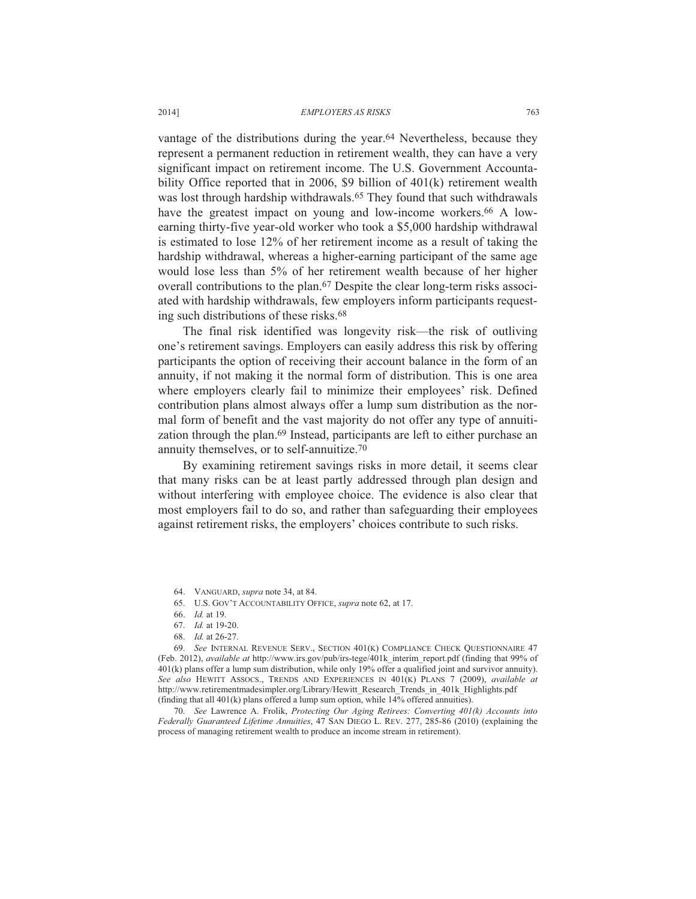vantage of the distributions during the year.<sup>64</sup> Nevertheless, because they represent a permanent reduction in retirement wealth, they can have a very significant impact on retirement income. The U.S. Government Accountability Office reported that in 2006, \$9 billion of 401(k) retirement wealth was lost through hardship withdrawals.<sup>65</sup> They found that such withdrawals have the greatest impact on young and low-income workers.<sup>66</sup> A lowearning thirty-five year-old worker who took a \$5,000 hardship withdrawal is estimated to lose 12% of her retirement income as a result of taking the hardship withdrawal, whereas a higher-earning participant of the same age would lose less than 5% of her retirement wealth because of her higher overall contributions to the plan.67 Despite the clear long-term risks associated with hardship withdrawals, few employers inform participants requesting such distributions of these risks.68

The final risk identified was longevity risk—the risk of outliving one's retirement savings. Employers can easily address this risk by offering participants the option of receiving their account balance in the form of an annuity, if not making it the normal form of distribution. This is one area where employers clearly fail to minimize their employees' risk. Defined contribution plans almost always offer a lump sum distribution as the normal form of benefit and the vast majority do not offer any type of annuitization through the plan.<sup>69</sup> Instead, participants are left to either purchase an annuity themselves, or to self-annuitize.70

By examining retirement savings risks in more detail, it seems clear that many risks can be at least partly addressed through plan design and without interfering with employee choice. The evidence is also clear that most employers fail to do so, and rather than safeguarding their employees against retirement risks, the employers' choices contribute to such risks.

68. *Id.* at 26-27.

 69. *See* INTERNAL REVENUE SERV., SECTION 401(K) COMPLIANCE CHECK QUESTIONNAIRE 47 (Feb. 2012), *available at* http://www.irs.gov/pub/irs-tege/401k\_interim\_report.pdf (finding that 99% of 401(k) plans offer a lump sum distribution, while only 19% offer a qualified joint and survivor annuity). *See also* HEWITT ASSOCS., TRENDS AND EXPERIENCES IN 401(K) PLANS 7 (2009), *available at* http://www.retirementmadesimpler.org/Library/Hewitt\_Research\_Trends\_in\_401k\_Highlights.pdf (finding that all 401(k) plans offered a lump sum option, while 14% offered annuities).

 70. *See* Lawrence A. Frolik, *Protecting Our Aging Retirees: Converting 401(k) Accounts into Federally Guaranteed Lifetime Annuities*, 47 SAN DIEGO L. REV. 277, 285-86 (2010) (explaining the process of managing retirement wealth to produce an income stream in retirement).

 <sup>64.</sup> VANGUARD, *supra* note 34, at 84.

 <sup>65.</sup> U.S. GOV'T ACCOUNTABILITY OFFICE, *supra* note 62, at 17.

 <sup>66.</sup> *Id.* at 19.

 <sup>67.</sup> *Id.* at 19-20.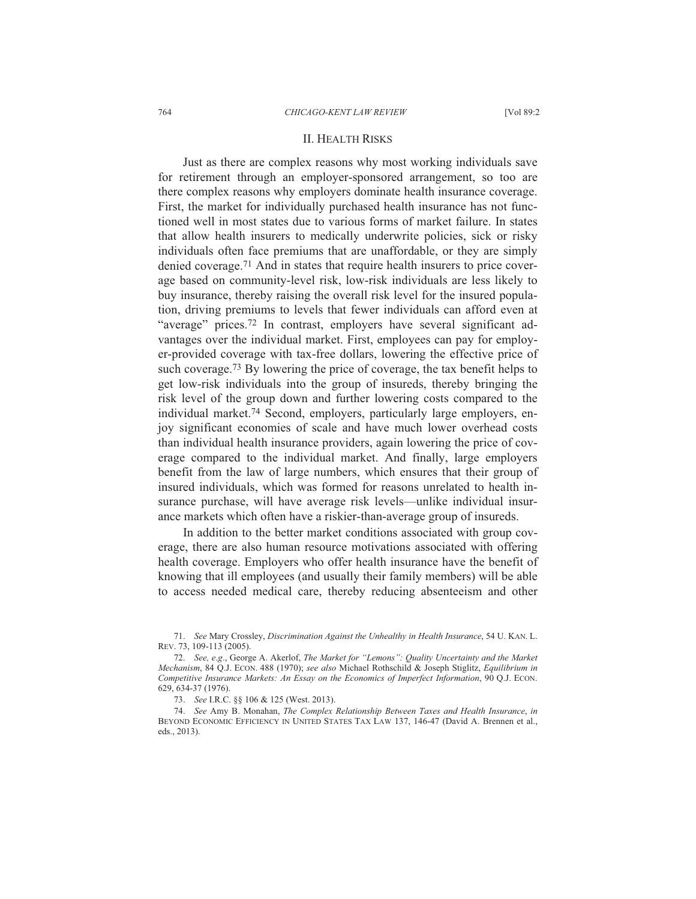## II. HEALTH RISKS

Just as there are complex reasons why most working individuals save for retirement through an employer-sponsored arrangement, so too are there complex reasons why employers dominate health insurance coverage. First, the market for individually purchased health insurance has not functioned well in most states due to various forms of market failure. In states that allow health insurers to medically underwrite policies, sick or risky individuals often face premiums that are unaffordable, or they are simply denied coverage.71 And in states that require health insurers to price coverage based on community-level risk, low-risk individuals are less likely to buy insurance, thereby raising the overall risk level for the insured population, driving premiums to levels that fewer individuals can afford even at "average" prices.<sup>72</sup> In contrast, employers have several significant advantages over the individual market. First, employees can pay for employer-provided coverage with tax-free dollars, lowering the effective price of such coverage.73 By lowering the price of coverage, the tax benefit helps to get low-risk individuals into the group of insureds, thereby bringing the risk level of the group down and further lowering costs compared to the individual market.74 Second, employers, particularly large employers, enjoy significant economies of scale and have much lower overhead costs than individual health insurance providers, again lowering the price of coverage compared to the individual market. And finally, large employers benefit from the law of large numbers, which ensures that their group of insured individuals, which was formed for reasons unrelated to health insurance purchase, will have average risk levels—unlike individual insurance markets which often have a riskier-than-average group of insureds.

In addition to the better market conditions associated with group coverage, there are also human resource motivations associated with offering health coverage. Employers who offer health insurance have the benefit of knowing that ill employees (and usually their family members) will be able to access needed medical care, thereby reducing absenteeism and other

 <sup>71.</sup> *See* Mary Crossley, *Discrimination Against the Unhealthy in Health Insurance*, 54 U. KAN. L. REV. 73, 109-113 (2005).

 <sup>72.</sup> *See, e*.*g*., George A. Akerlof, *The Market for "Lemons": Quality Uncertainty and the Market Mechanism*, 84 Q.J. ECON. 488 (1970); *see also* Michael Rothschild & Joseph Stiglitz, *Equilibrium in Competitive Insurance Markets: An Essay on the Economics of Imperfect Information*, 90 Q.J. ECON. 629, 634-37 (1976).

 <sup>73.</sup> *See* I.R.C. §§ 106 & 125 (West. 2013).

 <sup>74.</sup> *See* Amy B. Monahan, *The Complex Relationship Between Taxes and Health Insurance*, *in* BEYOND ECONOMIC EFFICIENCY IN UNITED STATES TAX LAW 137, 146-47 (David A. Brennen et al., eds., 2013).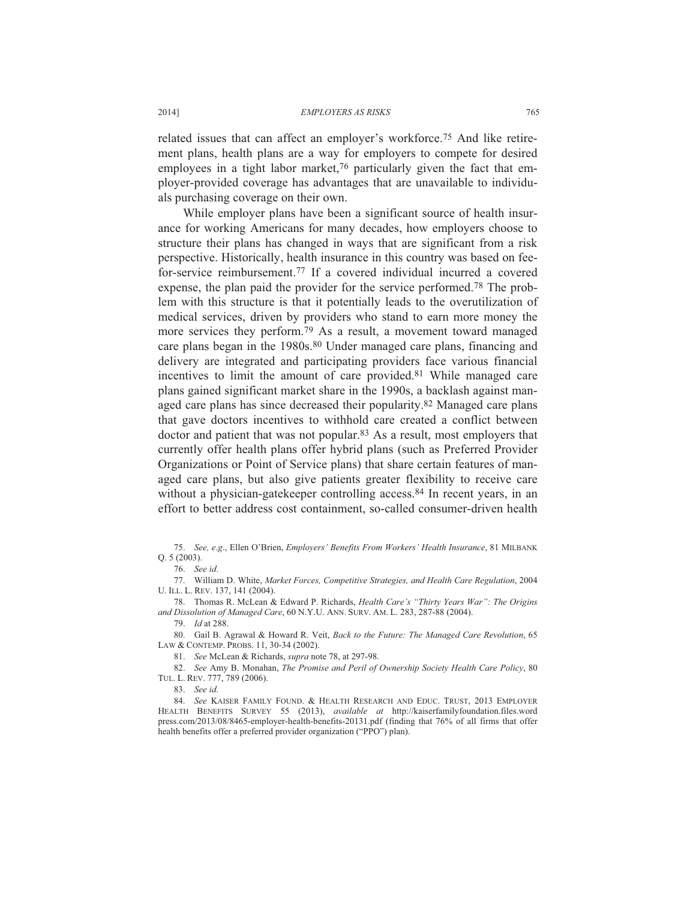related issues that can affect an employer's workforce.75 And like retirement plans, health plans are a way for employers to compete for desired employees in a tight labor market,<sup>76</sup> particularly given the fact that employer-provided coverage has advantages that are unavailable to individuals purchasing coverage on their own.

While employer plans have been a significant source of health insurance for working Americans for many decades, how employers choose to structure their plans has changed in ways that are significant from a risk perspective. Historically, health insurance in this country was based on feefor-service reimbursement.77 If a covered individual incurred a covered expense, the plan paid the provider for the service performed.78 The problem with this structure is that it potentially leads to the overutilization of medical services, driven by providers who stand to earn more money the more services they perform.79 As a result, a movement toward managed care plans began in the 1980s.<sup>80</sup> Under managed care plans, financing and delivery are integrated and participating providers face various financial incentives to limit the amount of care provided.81 While managed care plans gained significant market share in the 1990s, a backlash against managed care plans has since decreased their popularity.82 Managed care plans that gave doctors incentives to withhold care created a conflict between doctor and patient that was not popular.83 As a result, most employers that currently offer health plans offer hybrid plans (such as Preferred Provider Organizations or Point of Service plans) that share certain features of managed care plans, but also give patients greater flexibility to receive care without a physician-gatekeeper controlling access.<sup>84</sup> In recent years, in an effort to better address cost containment, so-called consumer-driven health

 77. William D. White, *Market Forces, Competitive Strategies, and Health Care Regulation*, 2004 U. ILL. L. REV. 137, 141 (2004).

 78. Thomas R. McLean & Edward P. Richards, *Health Care's "Thirty Years War": The Origins and Dissolution of Managed Care*, 60 N.Y.U. ANN. SURV. AM. L. 283, 287-88 (2004).

79. *Id* at 288.

 80. Gail B. Agrawal & Howard R. Veit, *Back to the Future: The Managed Care Revolution*, 65 LAW & CONTEMP. PROBS. 11, 30-34 (2002).

81. *See* McLean & Richards, *supra* note 78, at 297-98.

 82. *See* Amy B. Monahan, *The Promise and Peril of Ownership Society Health Care Policy*, 80 TUL. L. REV. 777, 789 (2006).

83. *See id*.

 84. *See* KAISER FAMILY FOUND.&HEALTH RESEARCH AND EDUC. TRUST, 2013 EMPLOYER HEALTH BENEFITS SURVEY 55 (2013), *available at* http://kaiserfamilyfoundation.files.word press.com/2013/08/8465-employer-health-benefits-20131.pdf (finding that 76% of all firms that offer health benefits offer a preferred provider organization ("PPO") plan).

 <sup>75.</sup> *See, e*.*g*., Ellen O'Brien, *Employers' Benefits From Workers' Health Insurance*, 81 MILBANK Q. 5 (2003).

 <sup>76.</sup> *See id*.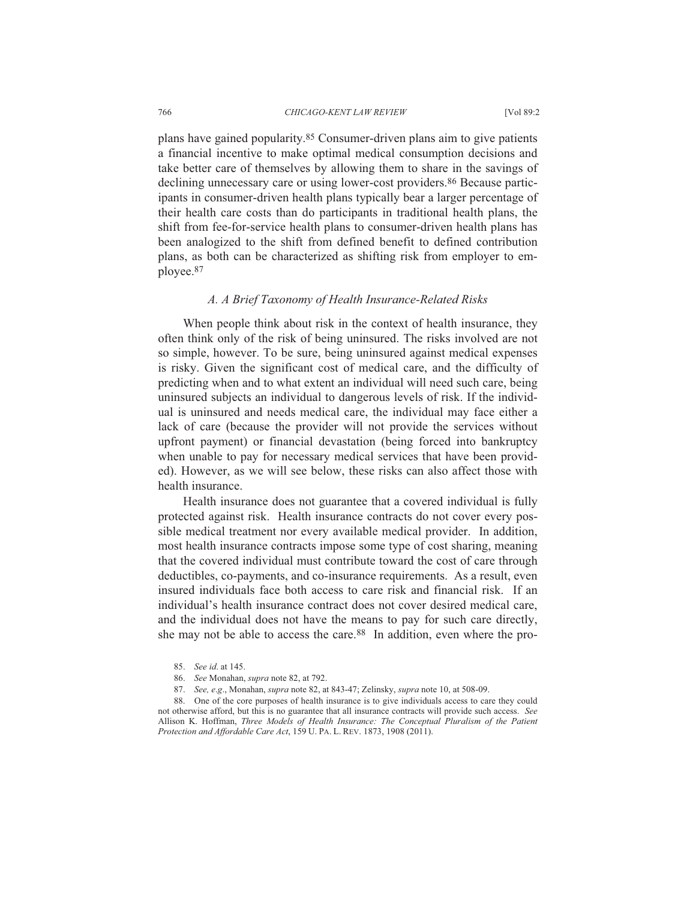plans have gained popularity.85 Consumer-driven plans aim to give patients a financial incentive to make optimal medical consumption decisions and take better care of themselves by allowing them to share in the savings of declining unnecessary care or using lower-cost providers.<sup>86</sup> Because participants in consumer-driven health plans typically bear a larger percentage of their health care costs than do participants in traditional health plans, the shift from fee-for-service health plans to consumer-driven health plans has been analogized to the shift from defined benefit to defined contribution plans, as both can be characterized as shifting risk from employer to employee.87

## *A. A Brief Taxonomy of Health Insurance-Related Risks*

When people think about risk in the context of health insurance, they often think only of the risk of being uninsured. The risks involved are not so simple, however. To be sure, being uninsured against medical expenses is risky. Given the significant cost of medical care, and the difficulty of predicting when and to what extent an individual will need such care, being uninsured subjects an individual to dangerous levels of risk. If the individual is uninsured and needs medical care, the individual may face either a lack of care (because the provider will not provide the services without upfront payment) or financial devastation (being forced into bankruptcy when unable to pay for necessary medical services that have been provided). However, as we will see below, these risks can also affect those with health insurance.

Health insurance does not guarantee that a covered individual is fully protected against risk. Health insurance contracts do not cover every possible medical treatment nor every available medical provider. In addition, most health insurance contracts impose some type of cost sharing, meaning that the covered individual must contribute toward the cost of care through deductibles, co-payments, and co-insurance requirements. As a result, even insured individuals face both access to care risk and financial risk. If an individual's health insurance contract does not cover desired medical care, and the individual does not have the means to pay for such care directly, she may not be able to access the care.88 In addition, even where the pro-

- 86. *See* Monahan, *supra* note 82, at 792.
- 87. *See, e*.*g*., Monahan, *supra* note 82, at 843-47; Zelinsky, *supra* note 10, at 508-09.

 88. One of the core purposes of health insurance is to give individuals access to care they could not otherwise afford, but this is no guarantee that all insurance contracts will provide such access. *See* Allison K. Hoffman, *Three Models of Health Insurance: The Conceptual Pluralism of the Patient Protection and Affordable Care Act*, 159 U. PA. L. REV. 1873, 1908 (2011).

 <sup>85.</sup> *See id*. at 145.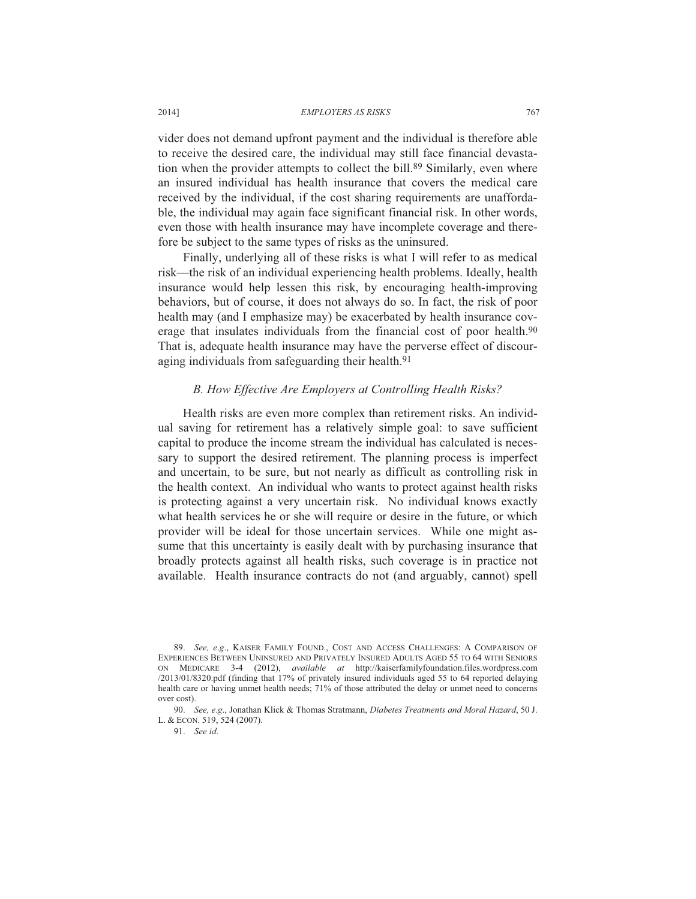vider does not demand upfront payment and the individual is therefore able to receive the desired care, the individual may still face financial devastation when the provider attempts to collect the bill.<sup>89</sup> Similarly, even where an insured individual has health insurance that covers the medical care received by the individual, if the cost sharing requirements are unaffordable, the individual may again face significant financial risk. In other words, even those with health insurance may have incomplete coverage and therefore be subject to the same types of risks as the uninsured.

Finally, underlying all of these risks is what I will refer to as medical risk—the risk of an individual experiencing health problems. Ideally, health insurance would help lessen this risk, by encouraging health-improving behaviors, but of course, it does not always do so. In fact, the risk of poor health may (and I emphasize may) be exacerbated by health insurance coverage that insulates individuals from the financial cost of poor health.90 That is, adequate health insurance may have the perverse effect of discouraging individuals from safeguarding their health.<sup>91</sup>

## *B. How Effective Are Employers at Controlling Health Risks?*

Health risks are even more complex than retirement risks. An individual saving for retirement has a relatively simple goal: to save sufficient capital to produce the income stream the individual has calculated is necessary to support the desired retirement. The planning process is imperfect and uncertain, to be sure, but not nearly as difficult as controlling risk in the health context. An individual who wants to protect against health risks is protecting against a very uncertain risk. No individual knows exactly what health services he or she will require or desire in the future, or which provider will be ideal for those uncertain services. While one might assume that this uncertainty is easily dealt with by purchasing insurance that broadly protects against all health risks, such coverage is in practice not available. Health insurance contracts do not (and arguably, cannot) spell

91. *See id*.

<sup>89.</sup> *See, e.g.*, KAISER FAMILY FOUND., COST AND ACCESS CHALLENGES: A COMPARISON OF EXPERIENCES BETWEEN UNINSURED AND PRIVATELY INSURED ADULTS AGED 55 TO 64 WITH SENIORS ON MEDICARE 3-4 (2012), *available at* http://kaiserfamilyfoundation.files.wordpress.com /2013/01/8320.pdf (finding that 17% of privately insured individuals aged 55 to 64 reported delaying health care or having unmet health needs; 71% of those attributed the delay or unmet need to concerns over cost).

 <sup>90.</sup> *See, e*.*g*., Jonathan Klick & Thomas Stratmann, *Diabetes Treatments and Moral Hazard*, 50 J. L. & ECON. 519, 524 (2007).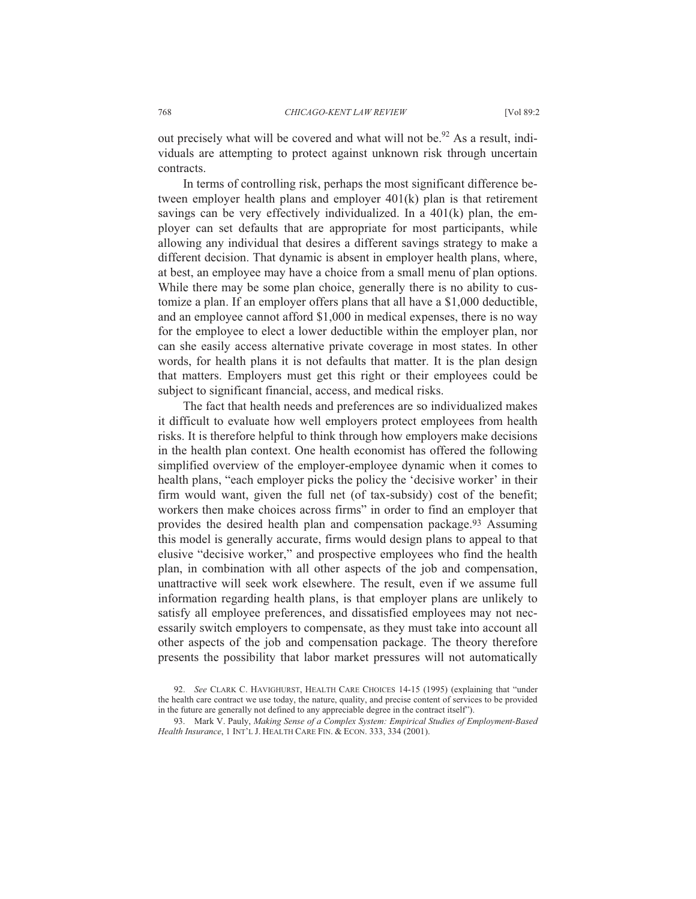out precisely what will be covered and what will not be.<sup>92</sup> As a result, individuals are attempting to protect against unknown risk through uncertain contracts.

In terms of controlling risk, perhaps the most significant difference between employer health plans and employer 401(k) plan is that retirement savings can be very effectively individualized. In a  $401(k)$  plan, the employer can set defaults that are appropriate for most participants, while allowing any individual that desires a different savings strategy to make a different decision. That dynamic is absent in employer health plans, where, at best, an employee may have a choice from a small menu of plan options. While there may be some plan choice, generally there is no ability to customize a plan. If an employer offers plans that all have a \$1,000 deductible, and an employee cannot afford \$1,000 in medical expenses, there is no way for the employee to elect a lower deductible within the employer plan, nor can she easily access alternative private coverage in most states. In other words, for health plans it is not defaults that matter. It is the plan design that matters. Employers must get this right or their employees could be subject to significant financial, access, and medical risks.

The fact that health needs and preferences are so individualized makes it difficult to evaluate how well employers protect employees from health risks. It is therefore helpful to think through how employers make decisions in the health plan context. One health economist has offered the following simplified overview of the employer-employee dynamic when it comes to health plans, "each employer picks the policy the 'decisive worker' in their firm would want, given the full net (of tax-subsidy) cost of the benefit; workers then make choices across firms" in order to find an employer that provides the desired health plan and compensation package.<sup>93</sup> Assuming this model is generally accurate, firms would design plans to appeal to that elusive "decisive worker," and prospective employees who find the health plan, in combination with all other aspects of the job and compensation, unattractive will seek work elsewhere. The result, even if we assume full information regarding health plans, is that employer plans are unlikely to satisfy all employee preferences, and dissatisfied employees may not necessarily switch employers to compensate, as they must take into account all other aspects of the job and compensation package. The theory therefore presents the possibility that labor market pressures will not automatically

 <sup>92.</sup> *See* CLARK C. HAVIGHURST, HEALTH CARE CHOICES 14-15 (1995) (explaining that "under the health care contract we use today, the nature, quality, and precise content of services to be provided in the future are generally not defined to any appreciable degree in the contract itself").

 <sup>93.</sup> Mark V. Pauly, *Making Sense of a Complex System: Empirical Studies of Employment-Based Health Insurance*, 1 INT'L J. HEALTH CARE FIN.&ECON. 333, 334 (2001).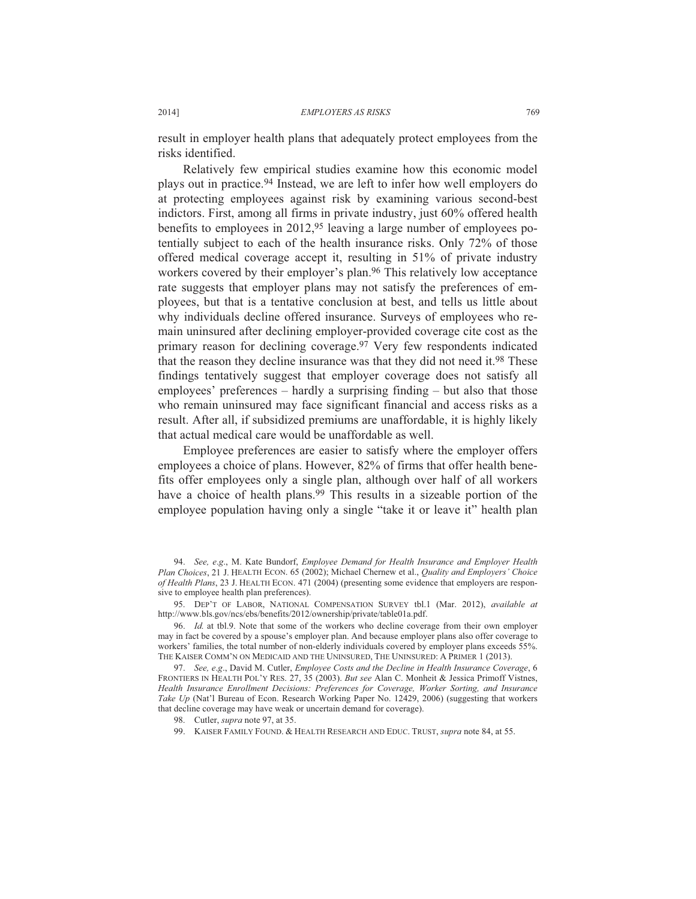result in employer health plans that adequately protect employees from the risks identified.

Relatively few empirical studies examine how this economic model plays out in practice.94 Instead, we are left to infer how well employers do at protecting employees against risk by examining various second-best indictors. First, among all firms in private industry, just 60% offered health benefits to employees in 2012,95 leaving a large number of employees potentially subject to each of the health insurance risks. Only 72% of those offered medical coverage accept it, resulting in 51% of private industry workers covered by their employer's plan.<sup>96</sup> This relatively low acceptance rate suggests that employer plans may not satisfy the preferences of employees, but that is a tentative conclusion at best, and tells us little about why individuals decline offered insurance. Surveys of employees who remain uninsured after declining employer-provided coverage cite cost as the primary reason for declining coverage.97 Very few respondents indicated that the reason they decline insurance was that they did not need it.98 These findings tentatively suggest that employer coverage does not satisfy all employees' preferences – hardly a surprising finding – but also that those who remain uninsured may face significant financial and access risks as a result. After all, if subsidized premiums are unaffordable, it is highly likely that actual medical care would be unaffordable as well.

Employee preferences are easier to satisfy where the employer offers employees a choice of plans. However, 82% of firms that offer health benefits offer employees only a single plan, although over half of all workers have a choice of health plans.<sup>99</sup> This results in a sizeable portion of the employee population having only a single "take it or leave it" health plan

 97. *See, e*.*g*., David M. Cutler, *Employee Costs and the Decline in Health Insurance Coverage*, 6 FRONTIERS IN HEALTH POL'Y RES. 27, 35 (2003). *But see* Alan C. Monheit & Jessica Primoff Vistnes, *Health Insurance Enrollment Decisions: Preferences for Coverage, Worker Sorting, and Insurance Take Up* (Nat'l Bureau of Econ. Research Working Paper No. 12429, 2006) (suggesting that workers that decline coverage may have weak or uncertain demand for coverage).

99. KAISER FAMILY FOUND. & HEALTH RESEARCH AND EDUC. TRUST, *supra* note 84, at 55.

 <sup>94.</sup> *See, e*.*g*., M. Kate Bundorf, *Employee Demand for Health Insurance and Employer Health Plan Choices*, 21 J. HEALTH ECON. 65 (2002); Michael Chernew et al., *Quality and Employers' Choice of Health Plans*, 23 J. HEALTH ECON. 471 (2004) (presenting some evidence that employers are responsive to employee health plan preferences).

 <sup>95.</sup> DEP'T OF LABOR, NATIONAL COMPENSATION SURVEY tbl.1 (Mar. 2012), *available at* http://www.bls.gov/ncs/ebs/benefits/2012/ownership/private/table01a.pdf.

 <sup>96.</sup> *Id.* at tbl.9. Note that some of the workers who decline coverage from their own employer may in fact be covered by a spouse's employer plan. And because employer plans also offer coverage to workers' families, the total number of non-elderly individuals covered by employer plans exceeds 55%. THE KAISER COMM'N ON MEDICAID AND THE UNINSURED, THE UNINSURED: A PRIMER 1 (2013).

 <sup>98.</sup> Cutler, *supra* note 97, at 35.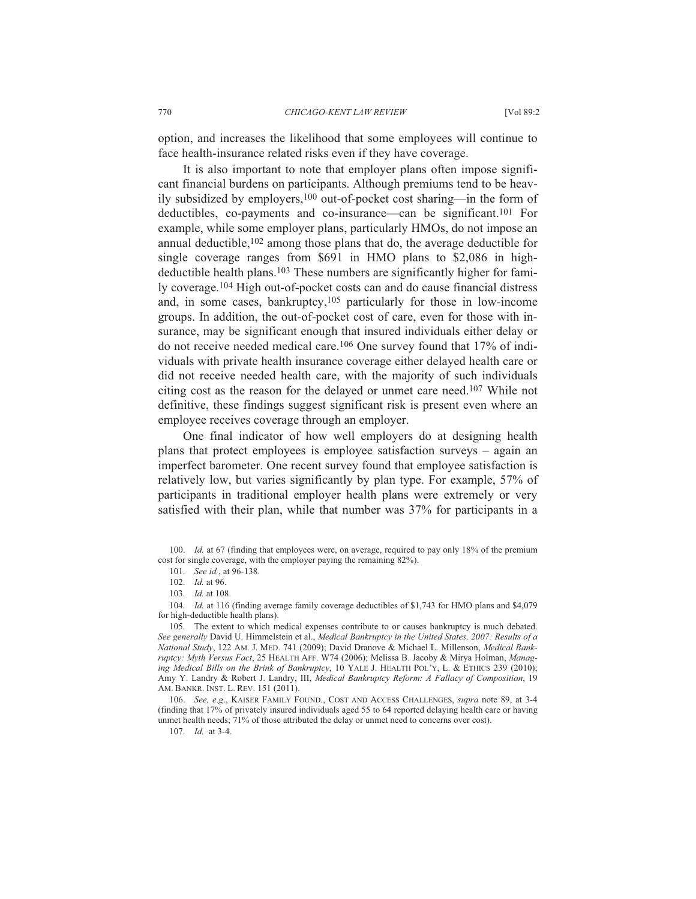option, and increases the likelihood that some employees will continue to face health-insurance related risks even if they have coverage.

It is also important to note that employer plans often impose significant financial burdens on participants. Although premiums tend to be heavily subsidized by employers,100 out-of-pocket cost sharing—in the form of deductibles, co-payments and co-insurance—can be significant.101 For example, while some employer plans, particularly HMOs, do not impose an annual deductible,102 among those plans that do, the average deductible for single coverage ranges from \$691 in HMO plans to \$2,086 in highdeductible health plans.103 These numbers are significantly higher for family coverage.104 High out-of-pocket costs can and do cause financial distress and, in some cases, bankruptcy,105 particularly for those in low-income groups. In addition, the out-of-pocket cost of care, even for those with insurance, may be significant enough that insured individuals either delay or do not receive needed medical care.106 One survey found that 17% of individuals with private health insurance coverage either delayed health care or did not receive needed health care, with the majority of such individuals citing cost as the reason for the delayed or unmet care need.107 While not definitive, these findings suggest significant risk is present even where an employee receives coverage through an employer.

One final indicator of how well employers do at designing health plans that protect employees is employee satisfaction surveys – again an imperfect barometer. One recent survey found that employee satisfaction is relatively low, but varies significantly by plan type. For example, 57% of participants in traditional employer health plans were extremely or very satisfied with their plan, while that number was 37% for participants in a

 106. *See, e*.*g*., KAISER FAMILY FOUND., COST AND ACCESS CHALLENGES, *supra* note 89, at 3-4 (finding that 17% of privately insured individuals aged 55 to 64 reported delaying health care or having unmet health needs; 71% of those attributed the delay or unmet need to concerns over cost).

107. *Id.* at 3-4.

 <sup>100.</sup> *Id.* at 67 (finding that employees were, on average, required to pay only 18% of the premium cost for single coverage, with the employer paying the remaining 82%).

 <sup>101.</sup> *See id.*, at 96-138.

 <sup>102.</sup> *Id.* at 96.

 <sup>103.</sup> *Id.* at 108.

 <sup>104.</sup> *Id.* at 116 (finding average family coverage deductibles of \$1,743 for HMO plans and \$4,079 for high-deductible health plans).

 <sup>105.</sup> The extent to which medical expenses contribute to or causes bankruptcy is much debated. *See generally* David U. Himmelstein et al., *Medical Bankruptcy in the United States, 2007: Results of a National Study*, 122 AM. J. MED. 741 (2009); David Dranove & Michael L. Millenson, *Medical Bankruptcy: Myth Versus Fact*, 25 HEALTH AFF. W74 (2006); Melissa B. Jacoby & Mirya Holman, *Managing Medical Bills on the Brink of Bankruptcy*, 10 YALE J. HEALTH POL'Y, L. & ETHICS 239 (2010); Amy Y. Landry & Robert J. Landry, III, *Medical Bankruptcy Reform: A Fallacy of Composition*, 19 AM. BANKR. INST. L. REV. 151 (2011).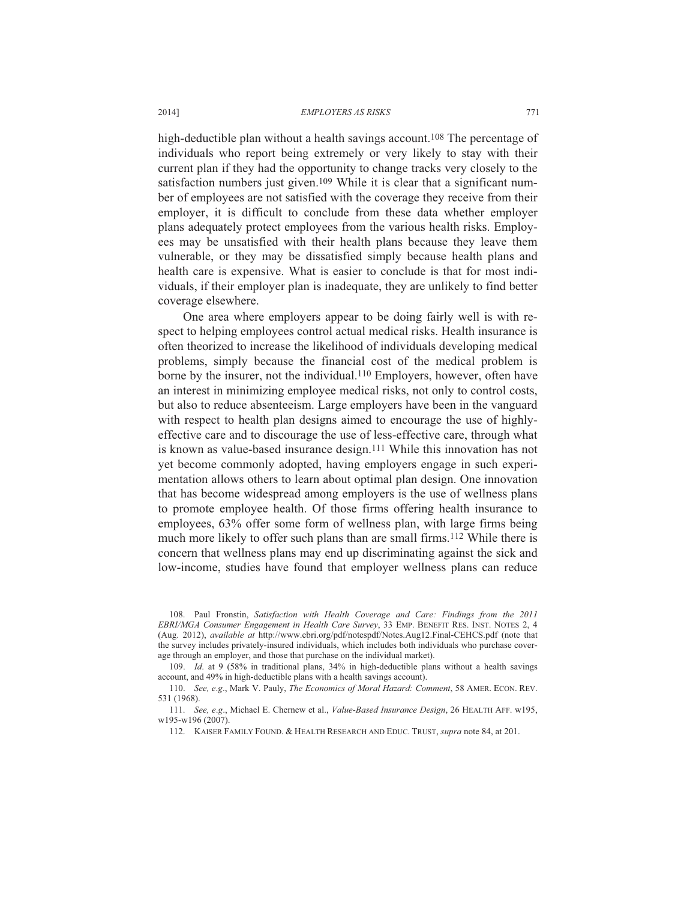high-deductible plan without a health savings account.<sup>108</sup> The percentage of individuals who report being extremely or very likely to stay with their current plan if they had the opportunity to change tracks very closely to the satisfaction numbers just given.<sup>109</sup> While it is clear that a significant number of employees are not satisfied with the coverage they receive from their employer, it is difficult to conclude from these data whether employer plans adequately protect employees from the various health risks. Employees may be unsatisfied with their health plans because they leave them vulnerable, or they may be dissatisfied simply because health plans and health care is expensive. What is easier to conclude is that for most individuals, if their employer plan is inadequate, they are unlikely to find better coverage elsewhere.

One area where employers appear to be doing fairly well is with respect to helping employees control actual medical risks. Health insurance is often theorized to increase the likelihood of individuals developing medical problems, simply because the financial cost of the medical problem is borne by the insurer, not the individual.110 Employers, however, often have an interest in minimizing employee medical risks, not only to control costs, but also to reduce absenteeism. Large employers have been in the vanguard with respect to health plan designs aimed to encourage the use of highlyeffective care and to discourage the use of less-effective care, through what is known as value-based insurance design.111 While this innovation has not yet become commonly adopted, having employers engage in such experimentation allows others to learn about optimal plan design. One innovation that has become widespread among employers is the use of wellness plans to promote employee health. Of those firms offering health insurance to employees, 63% offer some form of wellness plan, with large firms being much more likely to offer such plans than are small firms.<sup>112</sup> While there is concern that wellness plans may end up discriminating against the sick and low-income, studies have found that employer wellness plans can reduce

 108. Paul Fronstin, *Satisfaction with Health Coverage and Care: Findings from the 2011 EBRI/MGA Consumer Engagement in Health Care Survey*, 33 EMP. BENEFIT RES. INST. NOTES 2, 4 (Aug. 2012), *available at* http://www.ebri.org/pdf/notespdf/Notes.Aug12.Final-CEHCS.pdf (note that the survey includes privately-insured individuals, which includes both individuals who purchase coverage through an employer, and those that purchase on the individual market).

 109. *Id*. at 9 (58% in traditional plans, 34% in high-deductible plans without a health savings account, and 49% in high-deductible plans with a health savings account).

 110. *See, e*.*g*., Mark V. Pauly, *The Economics of Moral Hazard: Comment*, 58 AMER. ECON. REV. 531 (1968).

 111. *See, e*.*g*., Michael E. Chernew et al., *Value-Based Insurance Design*, 26 HEALTH AFF. w195, w195-w196 (2007).

112. KAISER FAMILY FOUND.&HEALTH RESEARCH AND EDUC. TRUST, *supra* note 84, at 201.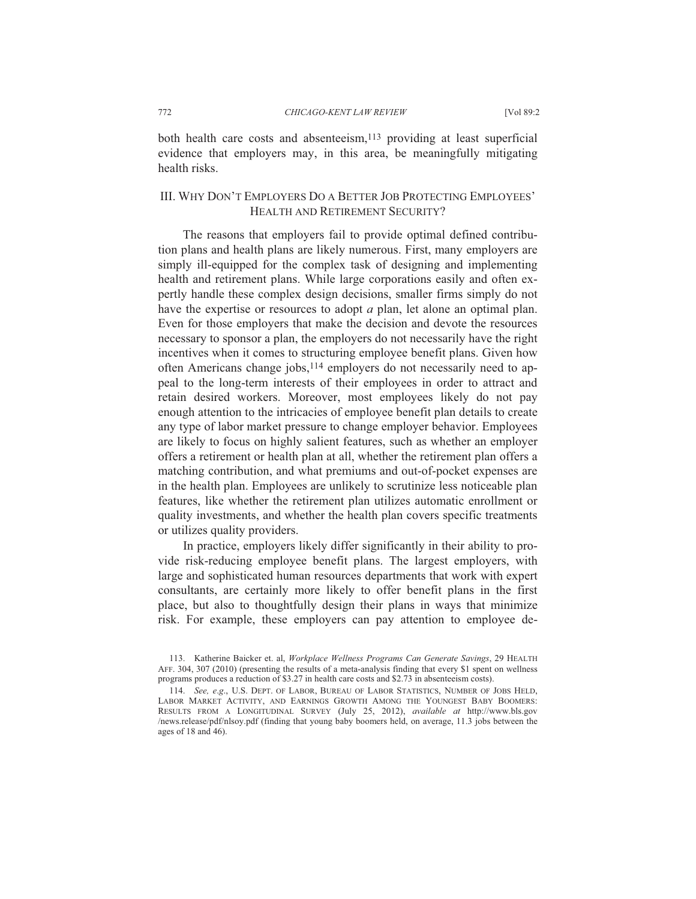both health care costs and absenteeism,<sup>113</sup> providing at least superficial evidence that employers may, in this area, be meaningfully mitigating health risks.

## III. WHY DON'T EMPLOYERS DO A BETTER JOB PROTECTING EMPLOYEES' HEALTH AND RETIREMENT SECURITY?

The reasons that employers fail to provide optimal defined contribution plans and health plans are likely numerous. First, many employers are simply ill-equipped for the complex task of designing and implementing health and retirement plans. While large corporations easily and often expertly handle these complex design decisions, smaller firms simply do not have the expertise or resources to adopt *a* plan, let alone an optimal plan. Even for those employers that make the decision and devote the resources necessary to sponsor a plan, the employers do not necessarily have the right incentives when it comes to structuring employee benefit plans. Given how often Americans change jobs,<sup>114</sup> employers do not necessarily need to appeal to the long-term interests of their employees in order to attract and retain desired workers. Moreover, most employees likely do not pay enough attention to the intricacies of employee benefit plan details to create any type of labor market pressure to change employer behavior. Employees are likely to focus on highly salient features, such as whether an employer offers a retirement or health plan at all, whether the retirement plan offers a matching contribution, and what premiums and out-of-pocket expenses are in the health plan. Employees are unlikely to scrutinize less noticeable plan features, like whether the retirement plan utilizes automatic enrollment or quality investments, and whether the health plan covers specific treatments or utilizes quality providers.

In practice, employers likely differ significantly in their ability to provide risk-reducing employee benefit plans. The largest employers, with large and sophisticated human resources departments that work with expert consultants, are certainly more likely to offer benefit plans in the first place, but also to thoughtfully design their plans in ways that minimize risk. For example, these employers can pay attention to employee de-

 <sup>113.</sup> Katherine Baicker et. al, *Workplace Wellness Programs Can Generate Savings*, 29 HEALTH AFF. 304, 307 (2010) (presenting the results of a meta-analysis finding that every \$1 spent on wellness programs produces a reduction of \$3.27 in health care costs and \$2.73 in absenteeism costs).

 <sup>114.</sup> *See, e*.*g*., U.S. DEPT. OF LABOR, BUREAU OF LABOR STATISTICS, NUMBER OF JOBS HELD, LABOR MARKET ACTIVITY, AND EARNINGS GROWTH AMONG THE YOUNGEST BABY BOOMERS: RESULTS FROM A LONGITUDINAL SURVEY (July 25, 2012), *available at* http://www.bls.gov /news.release/pdf/nlsoy.pdf (finding that young baby boomers held, on average, 11.3 jobs between the ages of 18 and 46).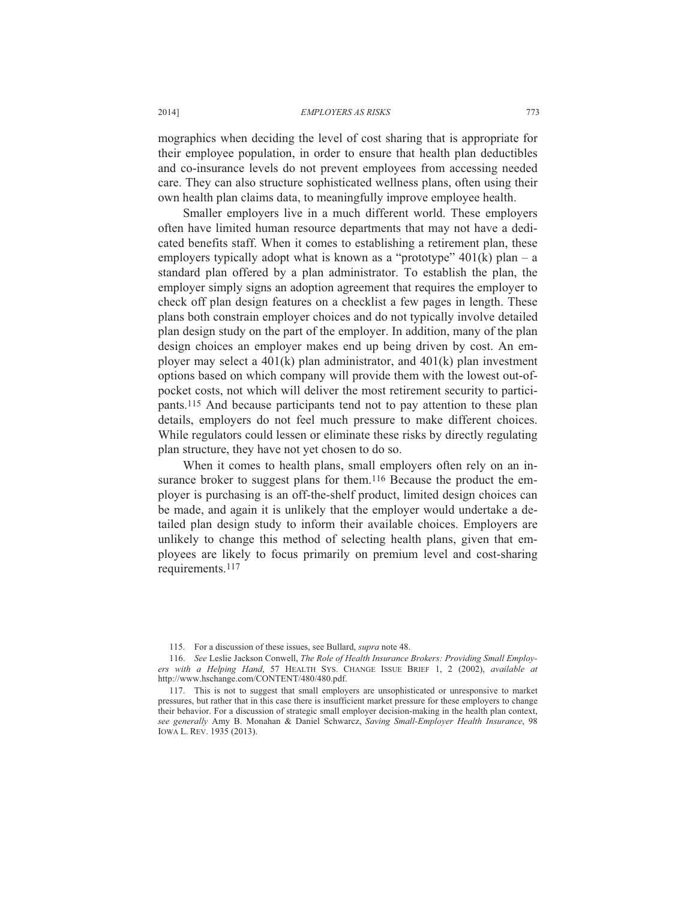mographics when deciding the level of cost sharing that is appropriate for their employee population, in order to ensure that health plan deductibles and co-insurance levels do not prevent employees from accessing needed care. They can also structure sophisticated wellness plans, often using their own health plan claims data, to meaningfully improve employee health.

Smaller employers live in a much different world. These employers often have limited human resource departments that may not have a dedicated benefits staff. When it comes to establishing a retirement plan, these employers typically adopt what is known as a "prototype"  $401(k)$  plan – a standard plan offered by a plan administrator. To establish the plan, the employer simply signs an adoption agreement that requires the employer to check off plan design features on a checklist a few pages in length. These plans both constrain employer choices and do not typically involve detailed plan design study on the part of the employer. In addition, many of the plan design choices an employer makes end up being driven by cost. An employer may select a 401(k) plan administrator, and 401(k) plan investment options based on which company will provide them with the lowest out-ofpocket costs, not which will deliver the most retirement security to participants.115 And because participants tend not to pay attention to these plan details, employers do not feel much pressure to make different choices. While regulators could lessen or eliminate these risks by directly regulating plan structure, they have not yet chosen to do so.

When it comes to health plans, small employers often rely on an insurance broker to suggest plans for them.<sup>116</sup> Because the product the employer is purchasing is an off-the-shelf product, limited design choices can be made, and again it is unlikely that the employer would undertake a detailed plan design study to inform their available choices. Employers are unlikely to change this method of selecting health plans, given that employees are likely to focus primarily on premium level and cost-sharing requirements.117

 <sup>115.</sup> For a discussion of these issues, see Bullard, *supra* note 48.

 <sup>116.</sup> *See* Leslie Jackson Conwell, *The Role of Health Insurance Brokers: Providing Small Employers with a Helping Hand*, 57 HEALTH SYS. CHANGE ISSUE BRIEF 1, 2 (2002), *available at* http://www.hschange.com/CONTENT/480/480.pdf.

 <sup>117.</sup> This is not to suggest that small employers are unsophisticated or unresponsive to market pressures, but rather that in this case there is insufficient market pressure for these employers to change their behavior. For a discussion of strategic small employer decision-making in the health plan context, *see generally* Amy B. Monahan & Daniel Schwarcz, *Saving Small-Employer Health Insurance*, 98 IOWA L. REV. 1935 (2013).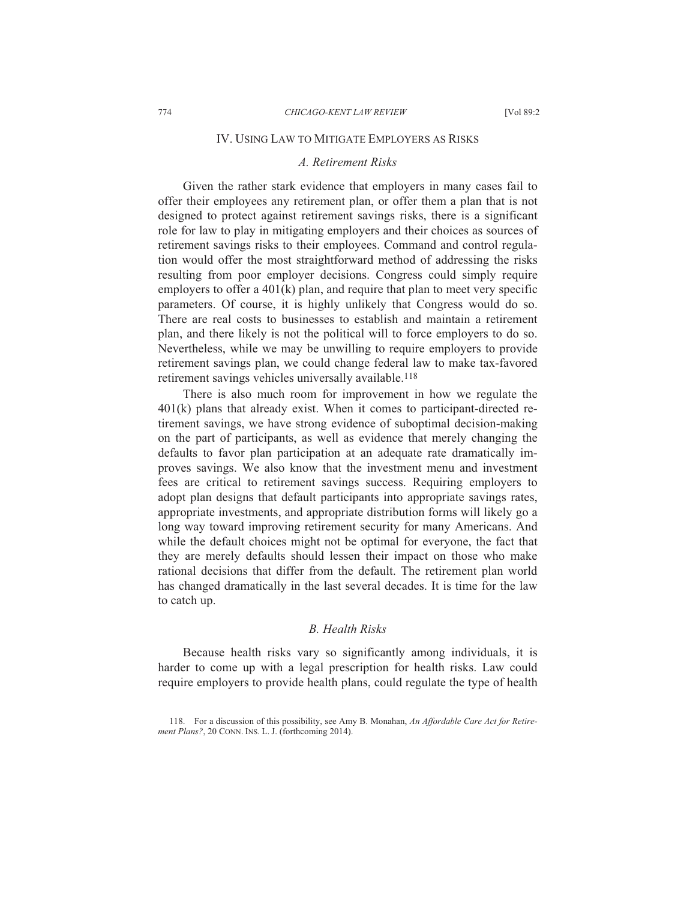## IV. USING LAW TO MITIGATE EMPLOYERS AS RISKS

## *A. Retirement Risks*

Given the rather stark evidence that employers in many cases fail to offer their employees any retirement plan, or offer them a plan that is not designed to protect against retirement savings risks, there is a significant role for law to play in mitigating employers and their choices as sources of retirement savings risks to their employees. Command and control regulation would offer the most straightforward method of addressing the risks resulting from poor employer decisions. Congress could simply require employers to offer a 401(k) plan, and require that plan to meet very specific parameters. Of course, it is highly unlikely that Congress would do so. There are real costs to businesses to establish and maintain a retirement plan, and there likely is not the political will to force employers to do so. Nevertheless, while we may be unwilling to require employers to provide retirement savings plan, we could change federal law to make tax-favored retirement savings vehicles universally available.<sup>118</sup>

There is also much room for improvement in how we regulate the 401(k) plans that already exist. When it comes to participant-directed retirement savings, we have strong evidence of suboptimal decision-making on the part of participants, as well as evidence that merely changing the defaults to favor plan participation at an adequate rate dramatically improves savings. We also know that the investment menu and investment fees are critical to retirement savings success. Requiring employers to adopt plan designs that default participants into appropriate savings rates, appropriate investments, and appropriate distribution forms will likely go a long way toward improving retirement security for many Americans. And while the default choices might not be optimal for everyone, the fact that they are merely defaults should lessen their impact on those who make rational decisions that differ from the default. The retirement plan world has changed dramatically in the last several decades. It is time for the law to catch up.

## *B. Health Risks*

Because health risks vary so significantly among individuals, it is harder to come up with a legal prescription for health risks. Law could require employers to provide health plans, could regulate the type of health

 <sup>118.</sup> For a discussion of this possibility, see Amy B. Monahan, *An Affordable Care Act for Retirement Plans?*, 20 CONN. INS. L. J. (forthcoming 2014).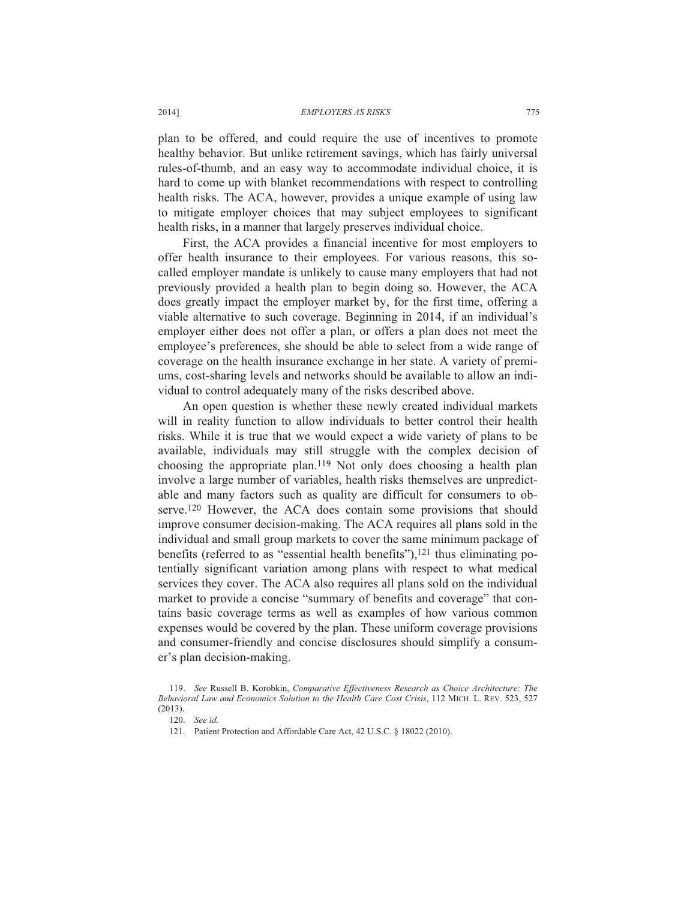plan to be offered, and could require the use of incentives to promote healthy behavior. But unlike retirement savings, which has fairly universal rules-of-thumb, and an easy way to accommodate individual choice, it is hard to come up with blanket recommendations with respect to controlling health risks. The ACA, however, provides a unique example of using law to mitigate employer choices that may subject employees to significant health risks, in a manner that largely preserves individual choice.

First, the ACA provides a financial incentive for most employers to offer health insurance to their employees. For various reasons, this socalled employer mandate is unlikely to cause many employers that had not previously provided a health plan to begin doing so. However, the ACA does greatly impact the employer market by, for the first time, offering a viable alternative to such coverage. Beginning in 2014, if an individual's employer either does not offer a plan, or offers a plan does not meet the employee's preferences, she should be able to select from a wide range of coverage on the health insurance exchange in her state. A variety of premiums, cost-sharing levels and networks should be available to allow an individual to control adequately many of the risks described above.

An open question is whether these newly created individual markets will in reality function to allow individuals to better control their health risks. While it is true that we would expect a wide variety of plans to be available, individuals may still struggle with the complex decision of choosing the appropriate plan.119 Not only does choosing a health plan involve a large number of variables, health risks themselves are unpredictable and many factors such as quality are difficult for consumers to observe.120 However, the ACA does contain some provisions that should improve consumer decision-making. The ACA requires all plans sold in the individual and small group markets to cover the same minimum package of benefits (referred to as "essential health benefits"), $121$  thus eliminating potentially significant variation among plans with respect to what medical services they cover. The ACA also requires all plans sold on the individual market to provide a concise "summary of benefits and coverage" that contains basic coverage terms as well as examples of how various common expenses would be covered by the plan. These uniform coverage provisions and consumer-friendly and concise disclosures should simplify a consumer's plan decision-making.

 <sup>119.</sup> *See* Russell B. Korobkin, *Comparative Effectiveness Research as Choice Architecture: The Behavioral Law and Economics Solution to the Health Care Cost Crisis*, 112 MICH. L. REV. 523, 527 (2013).

 <sup>120.</sup> *See id*.

 <sup>121.</sup> Patient Protection and Affordable Care Act, 42 U.S.C. § 18022 (2010).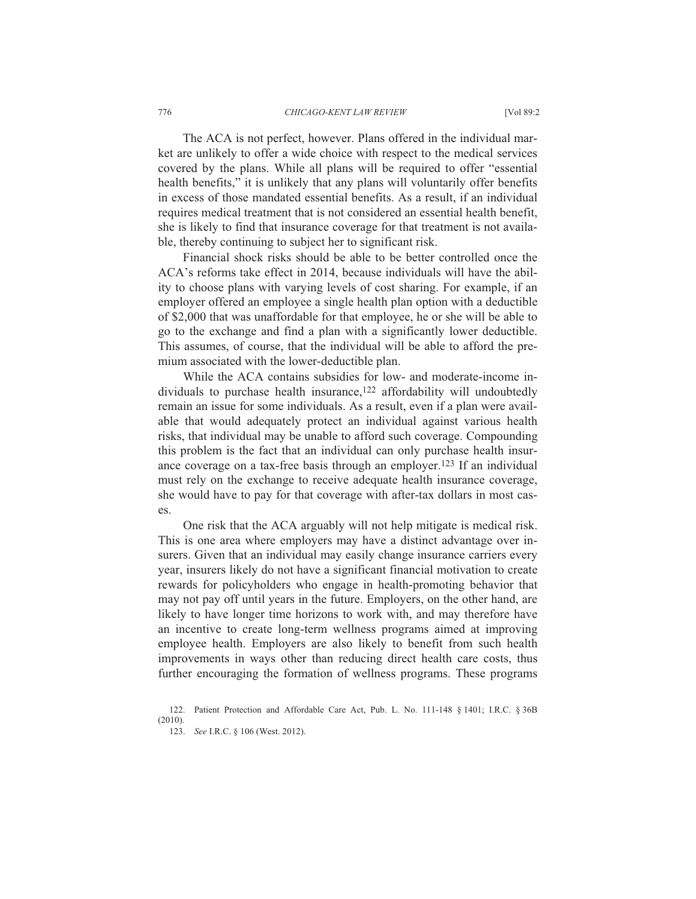The ACA is not perfect, however. Plans offered in the individual market are unlikely to offer a wide choice with respect to the medical services covered by the plans. While all plans will be required to offer "essential health benefits," it is unlikely that any plans will voluntarily offer benefits in excess of those mandated essential benefits. As a result, if an individual requires medical treatment that is not considered an essential health benefit, she is likely to find that insurance coverage for that treatment is not available, thereby continuing to subject her to significant risk.

Financial shock risks should be able to be better controlled once the ACA's reforms take effect in 2014, because individuals will have the ability to choose plans with varying levels of cost sharing. For example, if an employer offered an employee a single health plan option with a deductible of \$2,000 that was unaffordable for that employee, he or she will be able to go to the exchange and find a plan with a significantly lower deductible. This assumes, of course, that the individual will be able to afford the premium associated with the lower-deductible plan.

While the ACA contains subsidies for low- and moderate-income individuals to purchase health insurance,<sup>122</sup> affordability will undoubtedly remain an issue for some individuals. As a result, even if a plan were available that would adequately protect an individual against various health risks, that individual may be unable to afford such coverage. Compounding this problem is the fact that an individual can only purchase health insurance coverage on a tax-free basis through an employer.123 If an individual must rely on the exchange to receive adequate health insurance coverage, she would have to pay for that coverage with after-tax dollars in most cases.

One risk that the ACA arguably will not help mitigate is medical risk. This is one area where employers may have a distinct advantage over insurers. Given that an individual may easily change insurance carriers every year, insurers likely do not have a significant financial motivation to create rewards for policyholders who engage in health-promoting behavior that may not pay off until years in the future. Employers, on the other hand, are likely to have longer time horizons to work with, and may therefore have an incentive to create long-term wellness programs aimed at improving employee health. Employers are also likely to benefit from such health improvements in ways other than reducing direct health care costs, thus further encouraging the formation of wellness programs. These programs

 <sup>122.</sup> Patient Protection and Affordable Care Act, Pub. L. No. 111-148 § 1401; I.R.C. § 36B (2010).

 <sup>123.</sup> *See* I.R.C. § 106 (West. 2012).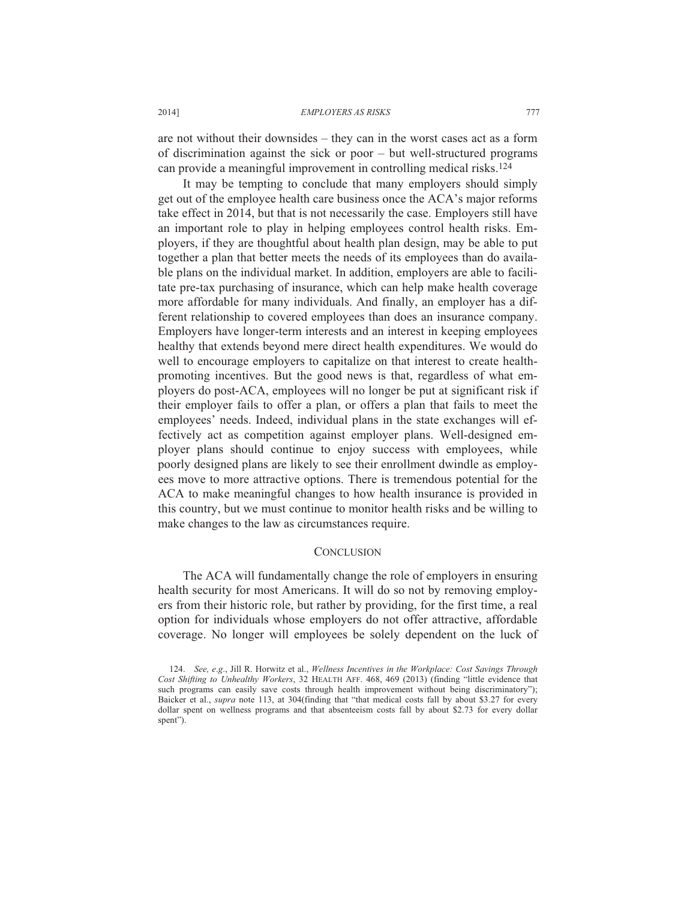are not without their downsides – they can in the worst cases act as a form of discrimination against the sick or poor – but well-structured programs can provide a meaningful improvement in controlling medical risks.124

It may be tempting to conclude that many employers should simply get out of the employee health care business once the ACA's major reforms take effect in 2014, but that is not necessarily the case. Employers still have an important role to play in helping employees control health risks. Employers, if they are thoughtful about health plan design, may be able to put together a plan that better meets the needs of its employees than do available plans on the individual market. In addition, employers are able to facilitate pre-tax purchasing of insurance, which can help make health coverage more affordable for many individuals. And finally, an employer has a different relationship to covered employees than does an insurance company. Employers have longer-term interests and an interest in keeping employees healthy that extends beyond mere direct health expenditures. We would do well to encourage employers to capitalize on that interest to create healthpromoting incentives. But the good news is that, regardless of what employers do post-ACA, employees will no longer be put at significant risk if their employer fails to offer a plan, or offers a plan that fails to meet the employees' needs. Indeed, individual plans in the state exchanges will effectively act as competition against employer plans. Well-designed employer plans should continue to enjoy success with employees, while poorly designed plans are likely to see their enrollment dwindle as employees move to more attractive options. There is tremendous potential for the ACA to make meaningful changes to how health insurance is provided in this country, but we must continue to monitor health risks and be willing to make changes to the law as circumstances require.

## **CONCLUSION**

The ACA will fundamentally change the role of employers in ensuring health security for most Americans. It will do so not by removing employers from their historic role, but rather by providing, for the first time, a real option for individuals whose employers do not offer attractive, affordable coverage. No longer will employees be solely dependent on the luck of

 <sup>124.</sup> *See, e*.*g*., Jill R. Horwitz et al., *Wellness Incentives in the Workplace: Cost Savings Through Cost Shifting to Unhealthy Workers*, 32 HEALTH AFF. 468, 469 (2013) (finding "little evidence that such programs can easily save costs through health improvement without being discriminatory"); Baicker et al., *supra* note 113, at 304(finding that "that medical costs fall by about \$3.27 for every dollar spent on wellness programs and that absenteeism costs fall by about \$2.73 for every dollar spent").